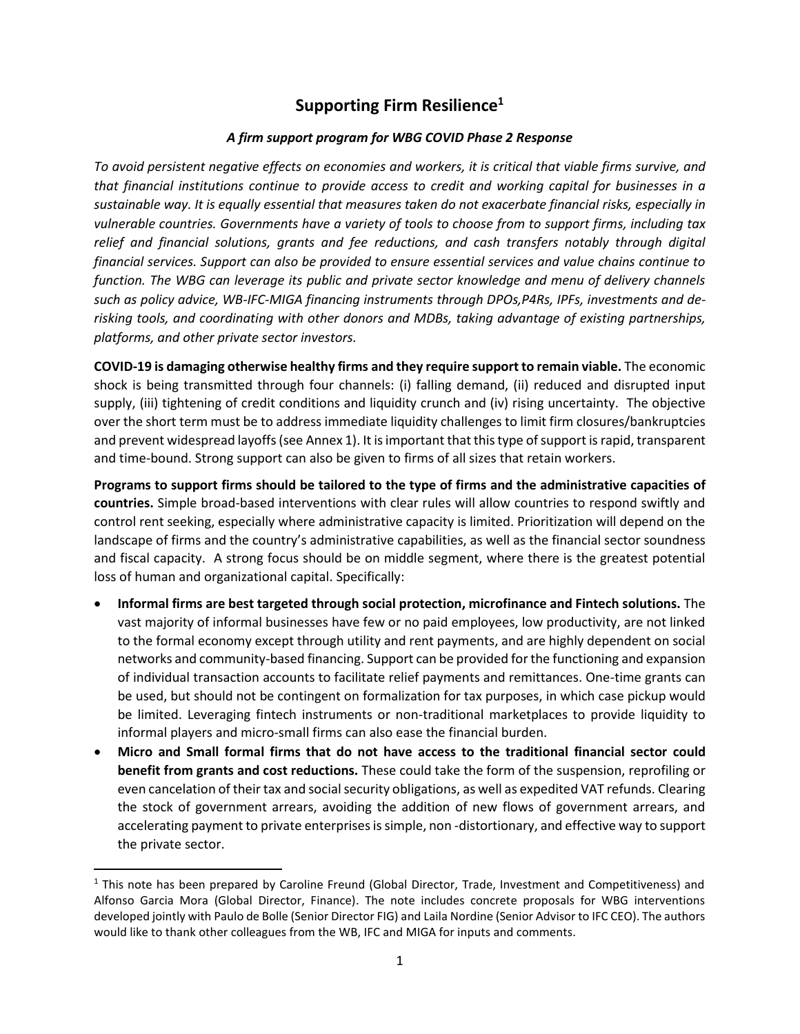# **Supporting Firm Resilience<sup>1</sup>**

# *A firm support program for WBG COVID Phase 2 Response*

*To avoid persistent negative effects on economies and workers, it is critical that viable firms survive, and that financial institutions continue to provide access to credit and working capital for businesses in a sustainable way. It is equally essential that measures taken do not exacerbate financial risks, especially in vulnerable countries. Governments have a variety of tools to choose from to support firms, including tax relief and financial solutions, grants and fee reductions, and cash transfers notably through digital financial services. Support can also be provided to ensure essential services and value chains continue to function. The WBG can leverage its public and private sector knowledge and menu of delivery channels such as policy advice, WB-IFC-MIGA financing instruments through DPOs,P4Rs, IPFs, investments and derisking tools, and coordinating with other donors and MDBs, taking advantage of existing partnerships, platforms, and other private sector investors.* 

**COVID-19 is damaging otherwise healthy firms and they require support to remain viable.** The economic shock is being transmitted through four channels: (i) falling demand, (ii) reduced and disrupted input supply, (iii) tightening of credit conditions and liquidity crunch and (iv) rising uncertainty. The objective over the short term must be to address immediate liquidity challenges to limit firm closures/bankruptcies and prevent widespread layoffs(see Annex 1). It is important that this type of support is rapid, transparent and time-bound. Strong support can also be given to firms of all sizes that retain workers.

**Programs to support firms should be tailored to the type of firms and the administrative capacities of countries.** Simple broad-based interventions with clear rules will allow countries to respond swiftly and control rent seeking, especially where administrative capacity is limited. Prioritization will depend on the landscape of firms and the country's administrative capabilities, as well as the financial sector soundness and fiscal capacity. A strong focus should be on middle segment, where there is the greatest potential loss of human and organizational capital. Specifically:

- **Informal firms are best targeted through social protection, microfinance and Fintech solutions.** The vast majority of informal businesses have few or no paid employees, low productivity, are not linked to the formal economy except through utility and rent payments, and are highly dependent on social networks and community-based financing. Support can be provided for the functioning and expansion of individual transaction accounts to facilitate relief payments and remittances. One-time grants can be used, but should not be contingent on formalization for tax purposes, in which case pickup would be limited. Leveraging fintech instruments or non-traditional marketplaces to provide liquidity to informal players and micro-small firms can also ease the financial burden.
- **Micro and Small formal firms that do not have access to the traditional financial sector could benefit from grants and cost reductions.** These could take the form of the suspension, reprofiling or even cancelation of their tax and social security obligations, as well as expedited VAT refunds. Clearing the stock of government arrears, avoiding the addition of new flows of government arrears, and accelerating payment to private enterprises is simple, non -distortionary, and effective way to support the private sector.

 $<sup>1</sup>$  This note has been prepared by Caroline Freund (Global Director, Trade, Investment and Competitiveness) and</sup> Alfonso Garcia Mora (Global Director, Finance). The note includes concrete proposals for WBG interventions developed jointly with Paulo de Bolle (Senior Director FIG) and Laila Nordine (Senior Advisor to IFC CEO). The authors would like to thank other colleagues from the WB, IFC and MIGA for inputs and comments.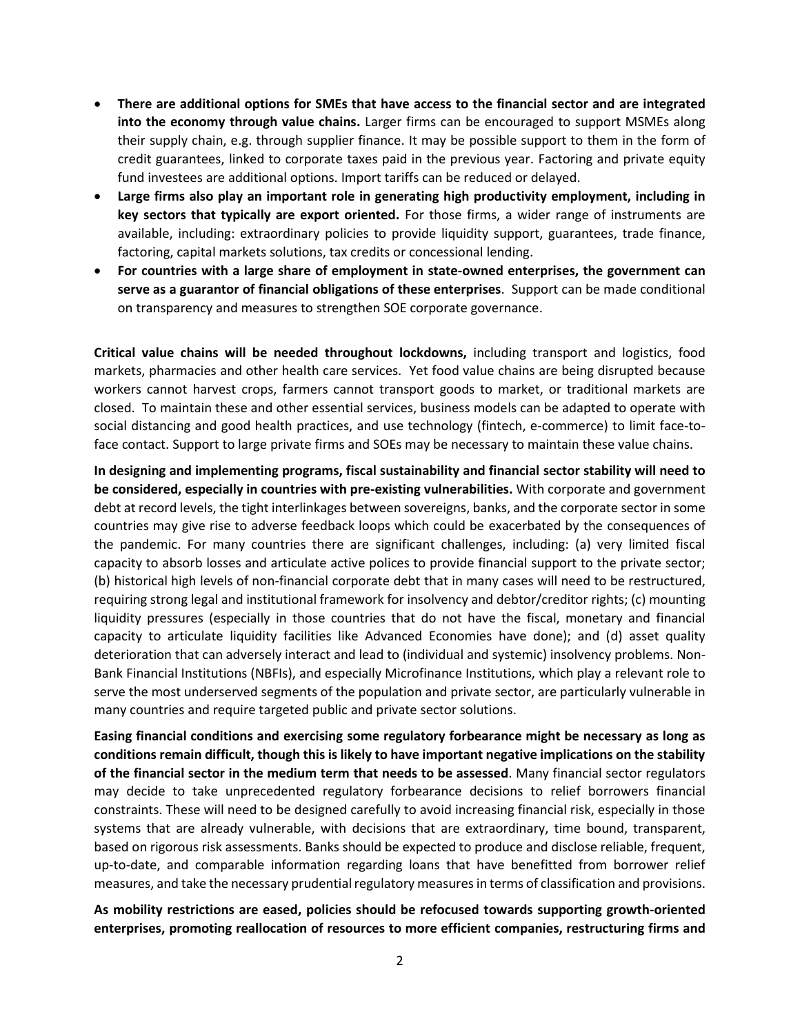- **There are additional options for SMEs that have access to the financial sector and are integrated into the economy through value chains.** Larger firms can be encouraged to support MSMEs along their supply chain, e.g. through supplier finance. It may be possible support to them in the form of credit guarantees, linked to corporate taxes paid in the previous year. Factoring and private equity fund investees are additional options. Import tariffs can be reduced or delayed.
- **Large firms also play an important role in generating high productivity employment, including in key sectors that typically are export oriented.** For those firms, a wider range of instruments are available, including: extraordinary policies to provide liquidity support, guarantees, trade finance, factoring, capital markets solutions, tax credits or concessional lending.
- **For countries with a large share of employment in state-owned enterprises, the government can serve as a guarantor of financial obligations of these enterprises**. Support can be made conditional on transparency and measures to strengthen SOE corporate governance.

**Critical value chains will be needed throughout lockdowns,** including transport and logistics, food markets, pharmacies and other health care services. Yet food value chains are being disrupted because workers cannot harvest crops, farmers cannot transport goods to market, or traditional markets are closed. To maintain these and other essential services, business models can be adapted to operate with social distancing and good health practices, and use technology (fintech, e-commerce) to limit face-toface contact. Support to large private firms and SOEs may be necessary to maintain these value chains.

**In designing and implementing programs, fiscal sustainability and financial sector stability will need to be considered, especially in countries with pre-existing vulnerabilities.** With corporate and government debt at record levels, the tight interlinkages between sovereigns, banks, and the corporate sector in some countries may give rise to adverse feedback loops which could be exacerbated by the consequences of the pandemic. For many countries there are significant challenges, including: (a) very limited fiscal capacity to absorb losses and articulate active polices to provide financial support to the private sector; (b) historical high levels of non-financial corporate debt that in many cases will need to be restructured, requiring strong legal and institutional framework for insolvency and debtor/creditor rights; (c) mounting liquidity pressures (especially in those countries that do not have the fiscal, monetary and financial capacity to articulate liquidity facilities like Advanced Economies have done); and (d) asset quality deterioration that can adversely interact and lead to (individual and systemic) insolvency problems. Non-Bank Financial Institutions (NBFIs), and especially Microfinance Institutions, which play a relevant role to serve the most underserved segments of the population and private sector, are particularly vulnerable in many countries and require targeted public and private sector solutions.

**Easing financial conditions and exercising some regulatory forbearance might be necessary as long as conditions remain difficult, though this is likely to have important negative implications on the stability of the financial sector in the medium term that needs to be assessed**. Many financial sector regulators may decide to take unprecedented regulatory forbearance decisions to relief borrowers financial constraints. These will need to be designed carefully to avoid increasing financial risk, especially in those systems that are already vulnerable, with decisions that are extraordinary, time bound, transparent, based on rigorous risk assessments. Banks should be expected to produce and disclose reliable, frequent, up-to-date, and comparable information regarding loans that have benefitted from borrower relief measures, and take the necessary prudential regulatory measuresin terms of classification and provisions.

**As mobility restrictions are eased, policies should be refocused towards supporting growth-oriented enterprises, promoting reallocation of resources to more efficient companies, restructuring firms and**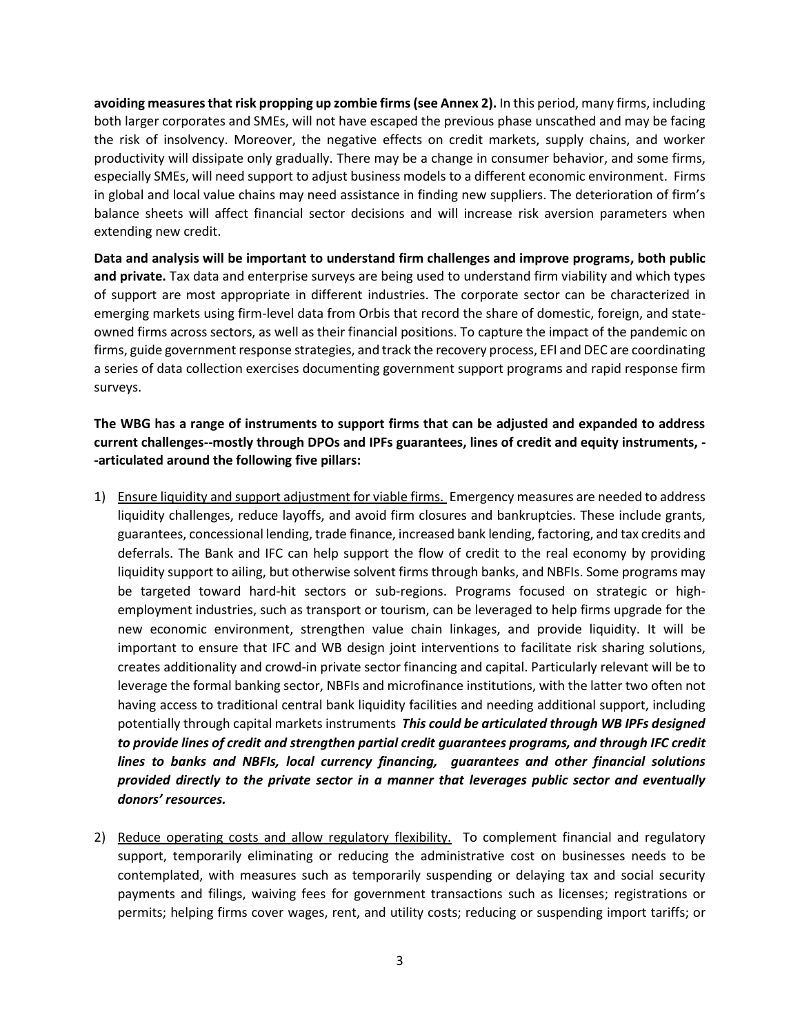**avoiding measures that risk propping up zombie firms(see Annex 2).** In this period, many firms, including both larger corporates and SMEs, will not have escaped the previous phase unscathed and may be facing the risk of insolvency. Moreover, the negative effects on credit markets, supply chains, and worker productivity will dissipate only gradually. There may be a change in consumer behavior, and some firms, especially SMEs, will need support to adjust business models to a different economic environment. Firms in global and local value chains may need assistance in finding new suppliers. The deterioration of firm's balance sheets will affect financial sector decisions and will increase risk aversion parameters when extending new credit.

**Data and analysis will be important to understand firm challenges and improve programs, both public and private.** Tax data and enterprise surveys are being used to understand firm viability and which types of support are most appropriate in different industries. The corporate sector can be characterized in emerging markets using firm-level data from Orbis that record the share of domestic, foreign, and stateowned firms across sectors, as well as their financial positions. To capture the impact of the pandemic on firms, guide government response strategies, and track the recovery process, EFI and DEC are coordinating a series of data collection exercises documenting government support programs and rapid response firm surveys.

# **The WBG has a range of instruments to support firms that can be adjusted and expanded to address current challenges--mostly through DPOs and IPFs guarantees, lines of credit and equity instruments, - -articulated around the following five pillars:**

- 1) Ensure liquidity and support adjustment for viable firms. Emergency measures are needed to address liquidity challenges, reduce layoffs, and avoid firm closures and bankruptcies. These include grants, guarantees, concessional lending, trade finance, increased bank lending, factoring, and tax credits and deferrals. The Bank and IFC can help support the flow of credit to the real economy by providing liquidity support to ailing, but otherwise solvent firms through banks, and NBFIs. Some programs may be targeted toward hard-hit sectors or sub-regions. Programs focused on strategic or highemployment industries, such as transport or tourism, can be leveraged to help firms upgrade for the new economic environment, strengthen value chain linkages, and provide liquidity. It will be important to ensure that IFC and WB design joint interventions to facilitate risk sharing solutions, creates additionality and crowd-in private sector financing and capital. Particularly relevant will be to leverage the formal banking sector, NBFIs and microfinance institutions, with the latter two often not having access to traditional central bank liquidity facilities and needing additional support, including potentially through capital markets instruments *This could be articulated through WB IPFs designed to provide lines of credit and strengthen partial credit guarantees programs, and through IFC credit lines to banks and NBFIs, local currency financing, guarantees and other financial solutions provided directly to the private sector in a manner that leverages public sector and eventually donors' resources.*
- 2) Reduce operating costs and allow regulatory flexibility. To complement financial and regulatory support, temporarily eliminating or reducing the administrative cost on businesses needs to be contemplated, with measures such as temporarily suspending or delaying tax and social security payments and filings, waiving fees for government transactions such as licenses; registrations or permits; helping firms cover wages, rent, and utility costs; reducing or suspending import tariffs; or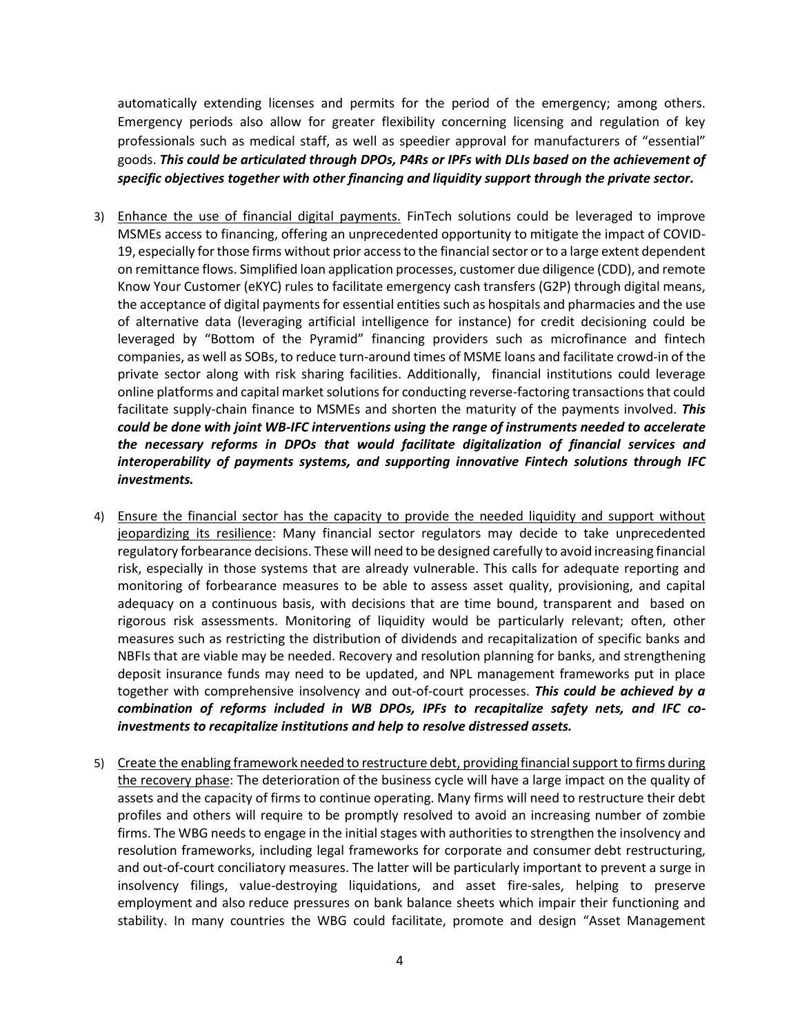automatically extending licenses and permits for the period of the emergency; among others. Emergency periods also allow for greater flexibility concerning licensing and regulation of key professionals such as medical staff, as well as speedier approval for manufacturers of "essential" goods. *This could be articulated through DPOs, P4Rs or IPFs with DLIs based on the achievement of specific objectives together with other financing and liquidity support through the private sector.*

- 3) Enhance the use of financial digital payments. FinTech solutions could be leveraged to improve MSMEs access to financing, offering an unprecedented opportunity to mitigate the impact of COVID-19, especially for those firms without prior accessto the financial sector or to a large extent dependent on remittance flows. Simplified loan application processes, customer due diligence (CDD), and remote Know Your Customer (eKYC) rules to facilitate emergency cash transfers (G2P) through digital means, the acceptance of digital payments for essential entities such as hospitals and pharmacies and the use of alternative data (leveraging artificial intelligence for instance) for credit decisioning could be leveraged by "Bottom of the Pyramid" financing providers such as microfinance and fintech companies, as well as SOBs, to reduce turn-around times of MSME loans and facilitate crowd-in of the private sector along with risk sharing facilities. Additionally, financial institutions could leverage online platforms and capital market solutions for conducting reverse-factoring transactions that could facilitate supply-chain finance to MSMEs and shorten the maturity of the payments involved. *This could be done with joint WB-IFC interventions using the range of instruments needed to accelerate the necessary reforms in DPOs that would facilitate digitalization of financial services and interoperability of payments systems, and supporting innovative Fintech solutions through IFC investments.*
- 4) Ensure the financial sector has the capacity to provide the needed liquidity and support without jeopardizing its resilience: Many financial sector regulators may decide to take unprecedented regulatory forbearance decisions. These will need to be designed carefully to avoid increasing financial risk, especially in those systems that are already vulnerable. This calls for adequate reporting and monitoring of forbearance measures to be able to assess asset quality, provisioning, and capital adequacy on a continuous basis, with decisions that are time bound, transparent and based on rigorous risk assessments. Monitoring of liquidity would be particularly relevant; often, other measures such as restricting the distribution of dividends and recapitalization of specific banks and NBFIs that are viable may be needed. Recovery and resolution planning for banks, and strengthening deposit insurance funds may need to be updated, and NPL management frameworks put in place together with comprehensive insolvency and out-of-court processes. *This could be achieved by a combination of reforms included in WB DPOs, IPFs to recapitalize safety nets, and IFC coinvestments to recapitalize institutions and help to resolve distressed assets.*
- 5) Create the enabling framework needed to restructure debt, providing financial support to firms during the recovery phase: The deterioration of the business cycle will have a large impact on the quality of assets and the capacity of firms to continue operating. Many firms will need to restructure their debt profiles and others will require to be promptly resolved to avoid an increasing number of zombie firms. The WBG needs to engage in the initial stages with authorities to strengthen the insolvency and resolution frameworks, including legal frameworks for corporate and consumer debt restructuring, and out-of-court conciliatory measures. The latter will be particularly important to prevent a surge in insolvency filings, value-destroying liquidations, and asset fire-sales, helping to preserve employment and also reduce pressures on bank balance sheets which impair their functioning and stability. In many countries the WBG could facilitate, promote and design "Asset Management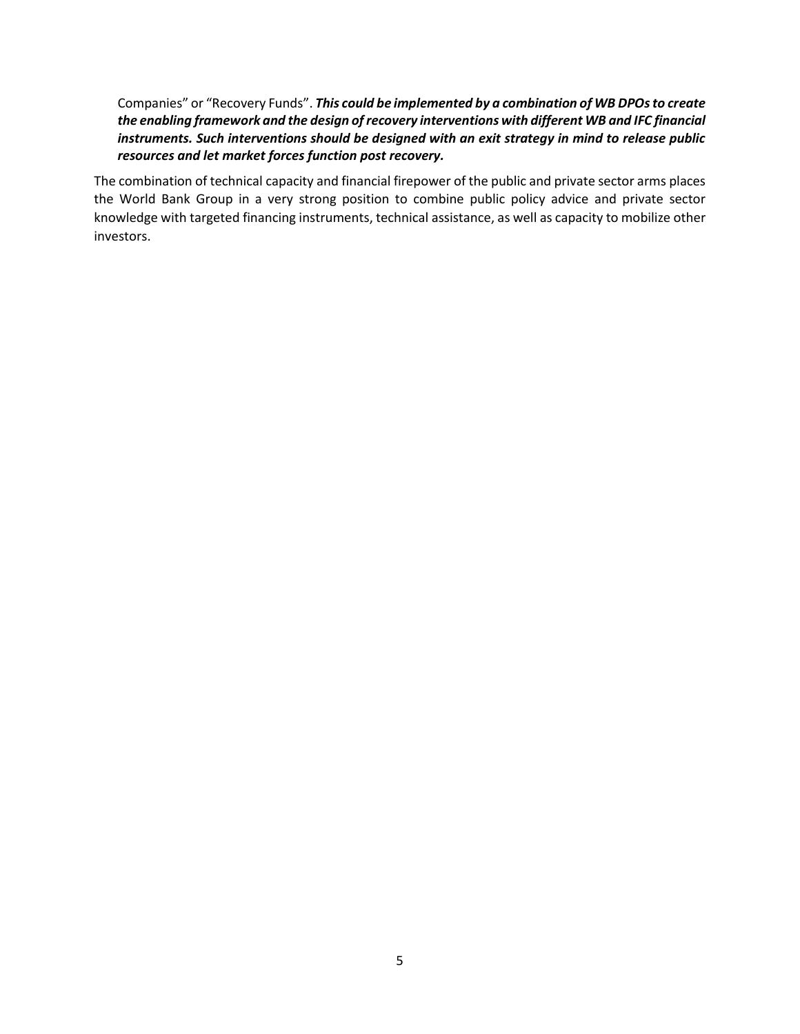Companies" or "Recovery Funds". *This could be implemented by a combination of WB DPOs to create the enabling framework and the design of recovery interventions with different WB and IFC financial instruments. Such interventions should be designed with an exit strategy in mind to release public resources and let market forces function post recovery.*

The combination of technical capacity and financial firepower of the public and private sector arms places the World Bank Group in a very strong position to combine public policy advice and private sector knowledge with targeted financing instruments, technical assistance, as well as capacity to mobilize other investors.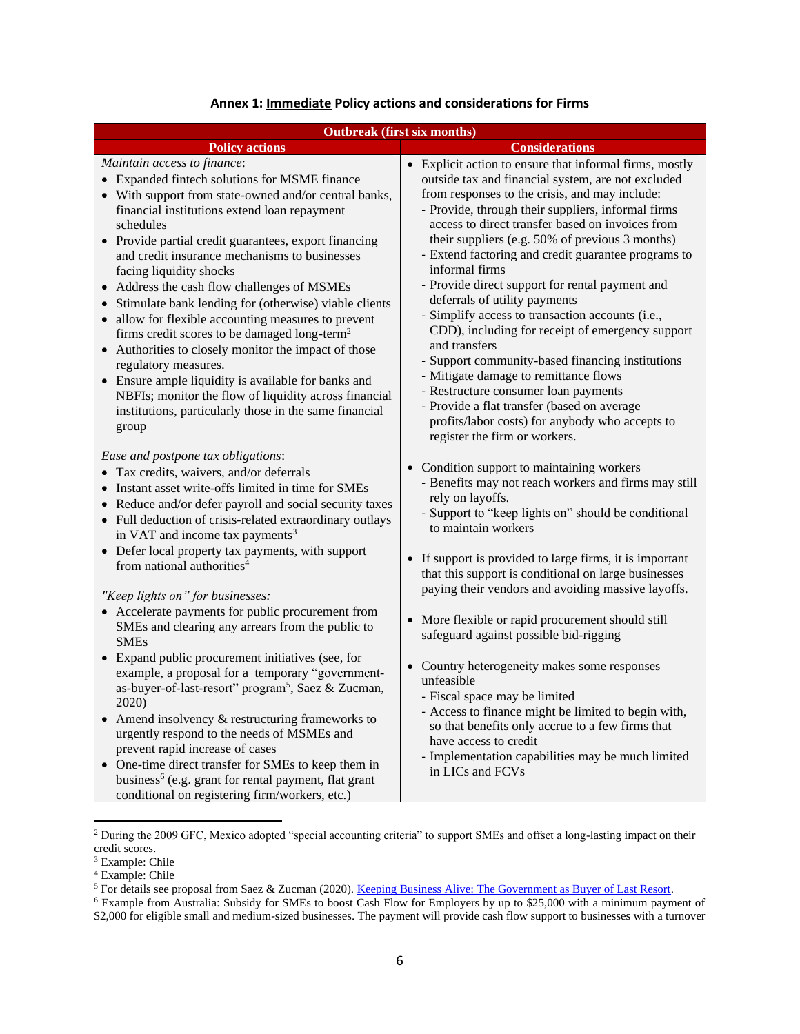| <b>Outbreak (first six months)</b>                                                                                                                                                                                                                                                                                                                                                                                                                                                                                                                                                                                                                                                                                                                                                                                                                        |                                                                                                                                                                                                                                                                                                                                                                                                                                                                                                                                                                                                                                                                                                                                                                                                                                                                                            |  |  |
|-----------------------------------------------------------------------------------------------------------------------------------------------------------------------------------------------------------------------------------------------------------------------------------------------------------------------------------------------------------------------------------------------------------------------------------------------------------------------------------------------------------------------------------------------------------------------------------------------------------------------------------------------------------------------------------------------------------------------------------------------------------------------------------------------------------------------------------------------------------|--------------------------------------------------------------------------------------------------------------------------------------------------------------------------------------------------------------------------------------------------------------------------------------------------------------------------------------------------------------------------------------------------------------------------------------------------------------------------------------------------------------------------------------------------------------------------------------------------------------------------------------------------------------------------------------------------------------------------------------------------------------------------------------------------------------------------------------------------------------------------------------------|--|--|
| <b>Policy actions</b>                                                                                                                                                                                                                                                                                                                                                                                                                                                                                                                                                                                                                                                                                                                                                                                                                                     | <b>Considerations</b>                                                                                                                                                                                                                                                                                                                                                                                                                                                                                                                                                                                                                                                                                                                                                                                                                                                                      |  |  |
| Maintain access to finance:<br>• Expanded fintech solutions for MSME finance<br>• With support from state-owned and/or central banks,<br>financial institutions extend loan repayment<br>schedules<br>• Provide partial credit guarantees, export financing<br>and credit insurance mechanisms to businesses<br>facing liquidity shocks<br>Address the cash flow challenges of MSMEs<br>Stimulate bank lending for (otherwise) viable clients<br>$\bullet$<br>allow for flexible accounting measures to prevent<br>$\bullet$<br>firms credit scores to be damaged long-term <sup>2</sup><br>Authorities to closely monitor the impact of those<br>regulatory measures.<br>• Ensure ample liquidity is available for banks and<br>NBFIs; monitor the flow of liquidity across financial<br>institutions, particularly those in the same financial<br>group | • Explicit action to ensure that informal firms, mostly<br>outside tax and financial system, are not excluded<br>from responses to the crisis, and may include:<br>- Provide, through their suppliers, informal firms<br>access to direct transfer based on invoices from<br>their suppliers (e.g. 50% of previous 3 months)<br>- Extend factoring and credit guarantee programs to<br>informal firms<br>- Provide direct support for rental payment and<br>deferrals of utility payments<br>- Simplify access to transaction accounts (i.e.,<br>CDD), including for receipt of emergency support<br>and transfers<br>- Support community-based financing institutions<br>- Mitigate damage to remittance flows<br>- Restructure consumer loan payments<br>- Provide a flat transfer (based on average<br>profits/labor costs) for anybody who accepts to<br>register the firm or workers. |  |  |
| Ease and postpone tax obligations:<br>• Tax credits, waivers, and/or deferrals<br>Instant asset write-offs limited in time for SMEs<br>• Reduce and/or defer payroll and social security taxes<br>• Full deduction of crisis-related extraordinary outlays<br>in VAT and income tax payments <sup>3</sup><br>Defer local property tax payments, with support<br>from national authorities <sup>4</sup>                                                                                                                                                                                                                                                                                                                                                                                                                                                    | • Condition support to maintaining workers<br>- Benefits may not reach workers and firms may still<br>rely on layoffs.<br>- Support to "keep lights on" should be conditional<br>to maintain workers<br>• If support is provided to large firms, it is important<br>that this support is conditional on large businesses                                                                                                                                                                                                                                                                                                                                                                                                                                                                                                                                                                   |  |  |
| "Keep lights on" for businesses:<br>• Accelerate payments for public procurement from<br>SMEs and clearing any arrears from the public to<br><b>SMEs</b>                                                                                                                                                                                                                                                                                                                                                                                                                                                                                                                                                                                                                                                                                                  | paying their vendors and avoiding massive layoffs.<br>• More flexible or rapid procurement should still<br>safeguard against possible bid-rigging                                                                                                                                                                                                                                                                                                                                                                                                                                                                                                                                                                                                                                                                                                                                          |  |  |
| • Expand public procurement initiatives (see, for<br>example, a proposal for a temporary "government-<br>as-buyer-of-last-resort" program <sup>5</sup> , Saez & Zucman,<br>2020)<br>• Amend insolvency & restructuring frameworks to<br>urgently respond to the needs of MSMEs and<br>prevent rapid increase of cases<br>One-time direct transfer for SMEs to keep them in<br>business <sup>6</sup> (e.g. grant for rental payment, flat grant<br>conditional on registering firm/workers, etc.)                                                                                                                                                                                                                                                                                                                                                          | • Country heterogeneity makes some responses<br>unfeasible<br>- Fiscal space may be limited<br>- Access to finance might be limited to begin with,<br>so that benefits only accrue to a few firms that<br>have access to credit<br>- Implementation capabilities may be much limited<br>in LICs and FCVs                                                                                                                                                                                                                                                                                                                                                                                                                                                                                                                                                                                   |  |  |

#### **Annex 1: Immediate Policy actions and considerations for Firms**

<sup>&</sup>lt;sup>2</sup> During the 2009 GFC, Mexico adopted "special accounting criteria" to support SMEs and offset a long-lasting impact on their credit scores.

<sup>&</sup>lt;sup>3</sup> Example: Chile

<sup>4</sup> Example: Chile

<sup>&</sup>lt;sup>5</sup> For details see proposal from Saez & Zucman (2020). <u>Keeping Business Alive: The Government as Buyer of Last Resort.</u>

<sup>&</sup>lt;sup>6</sup> Example from Australia: Subsidy for SMEs to boost Cash Flow for Employers by up to \$25,000 with a minimum payment of \$2,000 for eligible small and medium-sized businesses. The payment will provide cash flow support to businesses with a turnover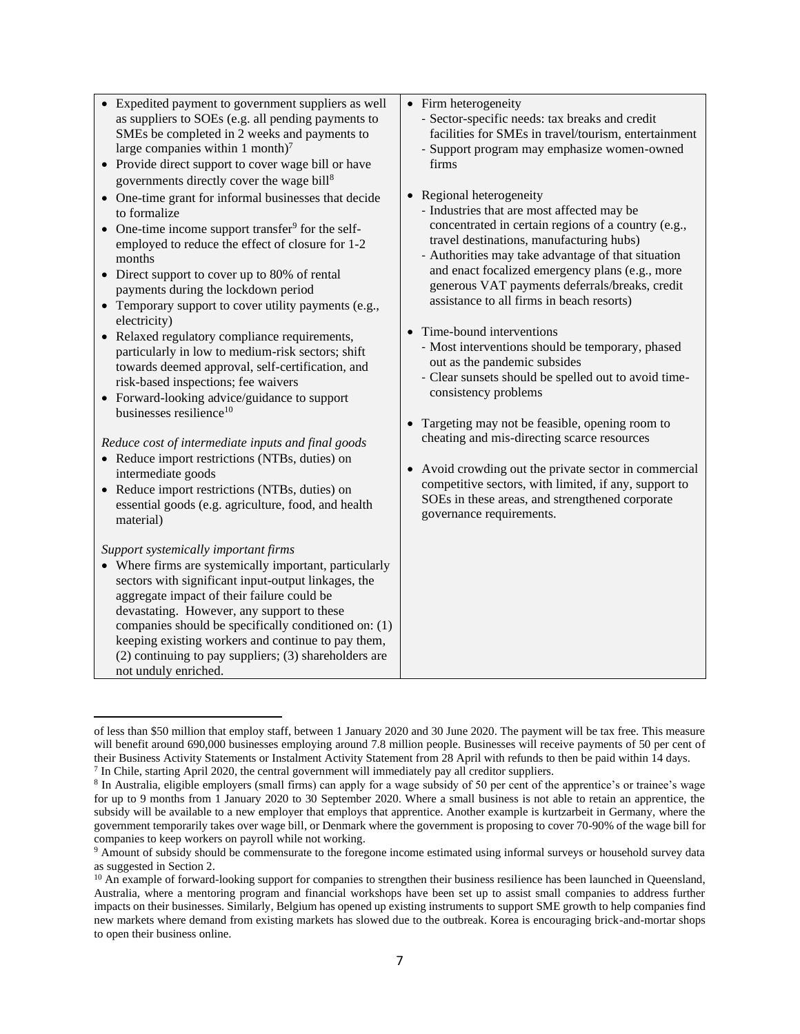| • Expedited payment to government suppliers as well<br>as suppliers to SOEs (e.g. all pending payments to<br>SMEs be completed in 2 weeks and payments to<br>large companies within 1 month) $7$<br>• Provide direct support to cover wage bill or have<br>governments directly cover the wage bill <sup>8</sup><br>• One-time grant for informal businesses that decide<br>to formalize<br>One-time income support transfer <sup>9</sup> for the self-<br>employed to reduce the effect of closure for 1-2<br>months<br>• Direct support to cover up to 80% of rental<br>payments during the lockdown period<br>• Temporary support to cover utility payments (e.g.,<br>electricity)<br>• Relaxed regulatory compliance requirements,<br>particularly in low to medium-risk sectors; shift<br>towards deemed approval, self-certification, and<br>risk-based inspections; fee waivers<br>• Forward-looking advice/guidance to support<br>businesses resilience <sup>10</sup><br>Reduce cost of intermediate inputs and final goods<br>• Reduce import restrictions (NTBs, duties) on<br>intermediate goods<br>• Reduce import restrictions (NTBs, duties) on<br>essential goods (e.g. agriculture, food, and health<br>material) | • Firm heterogeneity<br>- Sector-specific needs: tax breaks and credit<br>facilities for SMEs in travel/tourism, entertainment<br>- Support program may emphasize women-owned<br>firms<br>• Regional heterogeneity<br>- Industries that are most affected may be<br>concentrated in certain regions of a country (e.g.,<br>travel destinations, manufacturing hubs)<br>- Authorities may take advantage of that situation<br>and enact focalized emergency plans (e.g., more<br>generous VAT payments deferrals/breaks, credit<br>assistance to all firms in beach resorts)<br>• Time-bound interventions<br>- Most interventions should be temporary, phased<br>out as the pandemic subsides<br>- Clear sunsets should be spelled out to avoid time-<br>consistency problems<br>• Targeting may not be feasible, opening room to<br>cheating and mis-directing scarce resources<br>Avoid crowding out the private sector in commercial<br>$\bullet$<br>competitive sectors, with limited, if any, support to<br>SOEs in these areas, and strengthened corporate<br>governance requirements. |
|-----------------------------------------------------------------------------------------------------------------------------------------------------------------------------------------------------------------------------------------------------------------------------------------------------------------------------------------------------------------------------------------------------------------------------------------------------------------------------------------------------------------------------------------------------------------------------------------------------------------------------------------------------------------------------------------------------------------------------------------------------------------------------------------------------------------------------------------------------------------------------------------------------------------------------------------------------------------------------------------------------------------------------------------------------------------------------------------------------------------------------------------------------------------------------------------------------------------------------------|----------------------------------------------------------------------------------------------------------------------------------------------------------------------------------------------------------------------------------------------------------------------------------------------------------------------------------------------------------------------------------------------------------------------------------------------------------------------------------------------------------------------------------------------------------------------------------------------------------------------------------------------------------------------------------------------------------------------------------------------------------------------------------------------------------------------------------------------------------------------------------------------------------------------------------------------------------------------------------------------------------------------------------------------------------------------------------------------|
| Support systemically important firms<br>• Where firms are systemically important, particularly<br>sectors with significant input-output linkages, the<br>aggregate impact of their failure could be<br>devastating. However, any support to these<br>companies should be specifically conditioned on: (1)<br>keeping existing workers and continue to pay them,<br>(2) continuing to pay suppliers; (3) shareholders are<br>not unduly enriched.                                                                                                                                                                                                                                                                                                                                                                                                                                                                                                                                                                                                                                                                                                                                                                                  |                                                                                                                                                                                                                                                                                                                                                                                                                                                                                                                                                                                                                                                                                                                                                                                                                                                                                                                                                                                                                                                                                              |

of less than \$50 million that employ staff, between 1 January 2020 and 30 June 2020. The payment will be tax free. This measure will benefit around 690,000 businesses employing around 7.8 million people. Businesses will receive payments of 50 per cent of their Business Activity Statements or Instalment Activity Statement from 28 April with refunds to then be paid within 14 days.

 $<sup>7</sup>$  In Chile, starting April 2020, the central government will immediately pay all creditor suppliers.</sup>

<sup>&</sup>lt;sup>8</sup> In Australia, eligible employers (small firms) can apply for a wage subsidy of 50 per cent of the apprentice's or trainee's wage for up to 9 months from 1 January 2020 to 30 September 2020. Where a small business is not able to retain an apprentice, the subsidy will be available to a new employer that employs that apprentice. Another example is kurtzarbeit in Germany, where the government temporarily takes over wage bill, or Denmark where the government is proposing to cover 70-90% of the wage bill for companies to keep workers on payroll while not working.

<sup>9</sup> Amount of subsidy should be commensurate to the foregone income estimated using informal surveys or household survey data as suggested in Section 2.

 $10$  An example of forward-looking support for companies to strengthen their business resilience has been launched in Queensland, Australia, where a mentoring program and financial workshops have been set up to assist small companies to address further impacts on their businesses. Similarly, Belgium has opened up existing instruments to support SME growth to help companies find new markets where demand from existing markets has slowed due to the outbreak. Korea is encouraging brick-and-mortar shops to open their business online.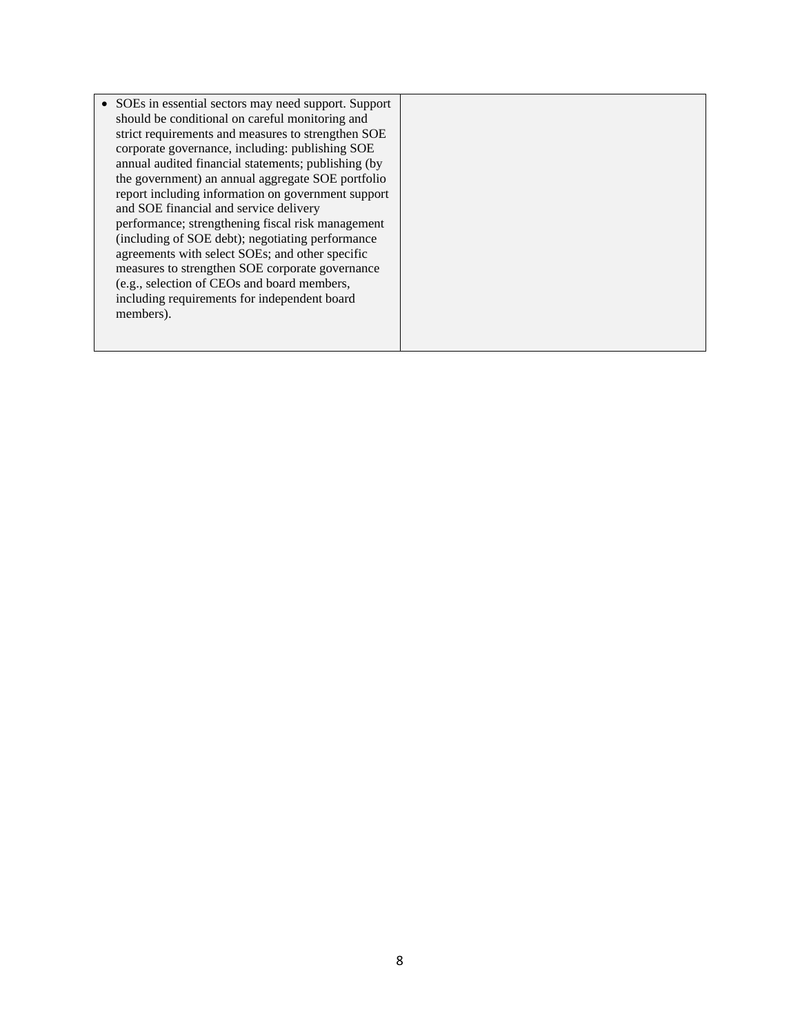• SOEs in essential sectors may need support. Support should be conditional on careful monitoring and strict requirements and measures to strengthen SOE corporate governance, including: publishing SOE annual audited financial statements; publishing (by the government) an annual aggregate SOE portfolio report including information on government support and SOE financial and service delivery performance; strengthening fiscal risk management (including of SOE debt); negotiating performance agreements with select SOEs; and other specific measures to strengthen SOE corporate governance (e.g., selection of CEOs and board members, including requirements for independent board members).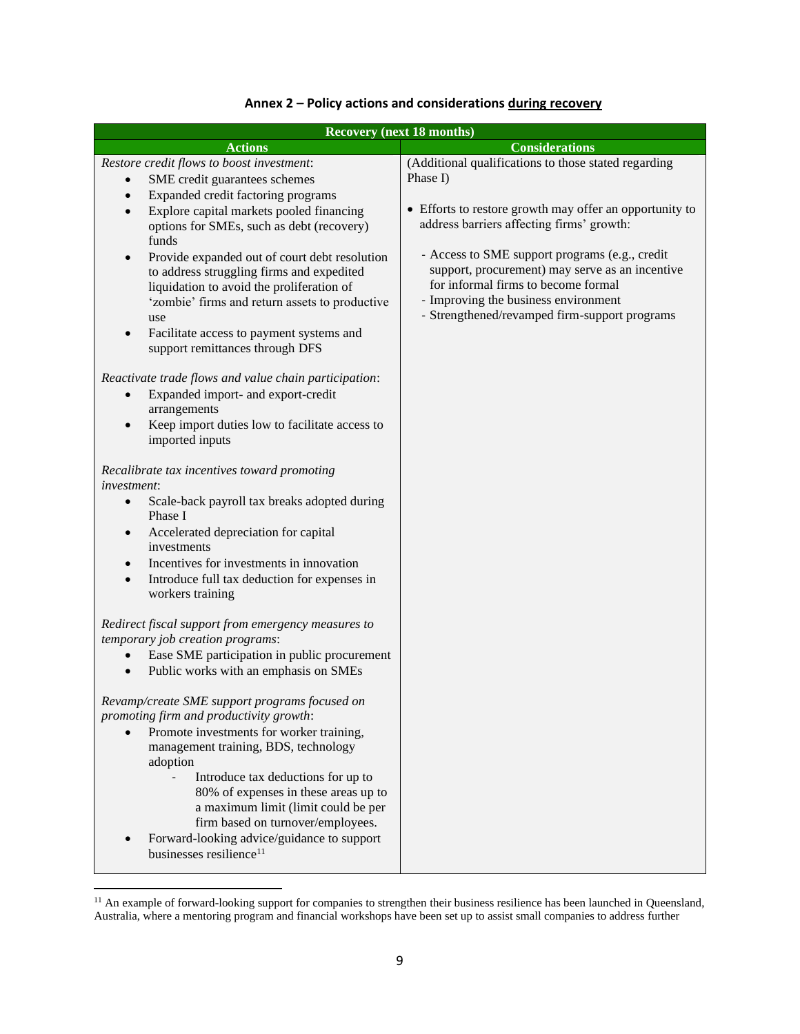| <b>Recovery (next 18 months)</b>                                                                                                                                                                                                                                                                          |                                                                                                                                                                                 |  |  |
|-----------------------------------------------------------------------------------------------------------------------------------------------------------------------------------------------------------------------------------------------------------------------------------------------------------|---------------------------------------------------------------------------------------------------------------------------------------------------------------------------------|--|--|
| <b>Actions</b>                                                                                                                                                                                                                                                                                            | <b>Considerations</b>                                                                                                                                                           |  |  |
| Restore credit flows to boost investment:<br>SME credit guarantees schemes<br>Expanded credit factoring programs<br>$\bullet$                                                                                                                                                                             | (Additional qualifications to those stated regarding<br>Phase I)<br>• Efforts to restore growth may offer an opportunity to                                                     |  |  |
| Explore capital markets pooled financing<br>$\bullet$<br>options for SMEs, such as debt (recovery)<br>funds                                                                                                                                                                                               | address barriers affecting firms' growth:<br>- Access to SME support programs (e.g., credit                                                                                     |  |  |
| Provide expanded out of court debt resolution<br>$\bullet$<br>to address struggling firms and expedited<br>liquidation to avoid the proliferation of<br>'zombie' firms and return assets to productive<br>use<br>Facilitate access to payment systems and<br>$\bullet$<br>support remittances through DFS | support, procurement) may serve as an incentive<br>for informal firms to become formal<br>- Improving the business environment<br>- Strengthened/revamped firm-support programs |  |  |
| Reactivate trade flows and value chain participation:<br>Expanded import- and export-credit<br>$\bullet$<br>arrangements<br>Keep import duties low to facilitate access to<br>$\bullet$<br>imported inputs                                                                                                |                                                                                                                                                                                 |  |  |
| Recalibrate tax incentives toward promoting<br><i>investment:</i>                                                                                                                                                                                                                                         |                                                                                                                                                                                 |  |  |
| Scale-back payroll tax breaks adopted during<br>$\bullet$<br>Phase I                                                                                                                                                                                                                                      |                                                                                                                                                                                 |  |  |
| Accelerated depreciation for capital<br>$\bullet$<br>investments<br>Incentives for investments in innovation<br>$\bullet$                                                                                                                                                                                 |                                                                                                                                                                                 |  |  |
| Introduce full tax deduction for expenses in<br>$\bullet$<br>workers training                                                                                                                                                                                                                             |                                                                                                                                                                                 |  |  |
| Redirect fiscal support from emergency measures to<br>temporary job creation programs:                                                                                                                                                                                                                    |                                                                                                                                                                                 |  |  |
| Ease SME participation in public procurement<br>$\bullet$<br>Public works with an emphasis on SMEs<br>$\bullet$                                                                                                                                                                                           |                                                                                                                                                                                 |  |  |
| Revamp/create SME support programs focused on<br>promoting firm and productivity growth:<br>Promote investments for worker training,<br>$\bullet$<br>management training, BDS, technology<br>adoption                                                                                                     |                                                                                                                                                                                 |  |  |
| Introduce tax deductions for up to<br>80% of expenses in these areas up to<br>a maximum limit (limit could be per<br>firm based on turnover/employees.<br>Forward-looking advice/guidance to support                                                                                                      |                                                                                                                                                                                 |  |  |
| businesses resilience <sup>11</sup>                                                                                                                                                                                                                                                                       |                                                                                                                                                                                 |  |  |

# **Annex 2 – Policy actions and considerations during recovery**

<sup>&</sup>lt;sup>11</sup> An example of forward-looking support for companies to strengthen their business resilience has been launched in Queensland, Australia, where a mentoring program and financial workshops have been set up to assist small companies to address further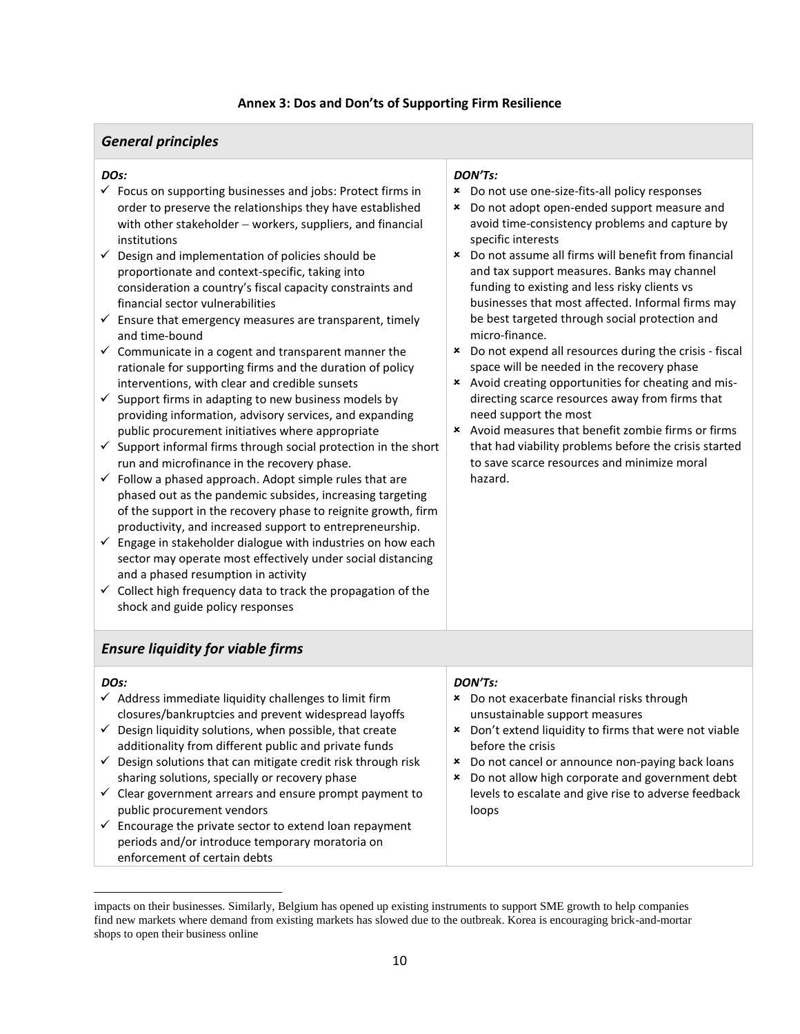#### **Annex 3: Dos and Don'ts of Supporting Firm Resilience**

# *General principles*

#### *DOs:*

- $\checkmark$  Focus on supporting businesses and jobs: Protect firms in order to preserve the relationships they have established with other stakeholder – workers, suppliers, and financial institutions
- $\checkmark$  Design and implementation of policies should be proportionate and context-specific, taking into consideration a country's fiscal capacity constraints and financial sector vulnerabilities
- $\checkmark$  Ensure that emergency measures are transparent, timely and time-bound
- $\checkmark$  Communicate in a cogent and transparent manner the rationale for supporting firms and the duration of policy interventions, with clear and credible sunsets
- $\checkmark$  Support firms in adapting to new business models by providing information, advisory services, and expanding public procurement initiatives where appropriate
- $\checkmark$  Support informal firms through social protection in the short run and microfinance in the recovery phase.
- $\checkmark$  Follow a phased approach. Adopt simple rules that are phased out as the pandemic subsides, increasing targeting of the support in the recovery phase to reignite growth, firm productivity, and increased support to entrepreneurship.
- $\checkmark$  Engage in stakeholder dialogue with industries on how each sector may operate most effectively under social distancing and a phased resumption in activity
- $\checkmark$  Collect high frequency data to track the propagation of the shock and guide policy responses

# *DON'Ts:*

- Do not use one-size-fits-all policy responses
- Do not adopt open-ended support measure and avoid time-consistency problems and capture by specific interests
- Do not assume all firms will benefit from financial and tax support measures. Banks may channel funding to existing and less risky clients vs businesses that most affected. Informal firms may be best targeted through social protection and micro-finance.
- Do not expend all resources during the crisis fiscal space will be needed in the recovery phase
- Avoid creating opportunities for cheating and misdirecting scarce resources away from firms that need support the most
- Avoid measures that benefit zombie firms or firms that had viability problems before the crisis started to save scarce resources and minimize moral hazard.

# *Ensure liquidity for viable firms*

| DO <sub>S</sub> :                                                                                                                                     | DON'Ts:                                                                                                      |
|-------------------------------------------------------------------------------------------------------------------------------------------------------|--------------------------------------------------------------------------------------------------------------|
| $\checkmark$ Address immediate liquidity challenges to limit firm<br>closures/bankruptcies and prevent widespread layoffs                             | * Do not exacerbate financial risks through<br>unsustainable support measures                                |
| $\checkmark$ Design liquidity solutions, when possible, that create<br>additionality from different public and private funds                          | Don't extend liquidity to firms that were not viable<br>$\mathbf x$<br>before the crisis                     |
| $\checkmark$ Design solutions that can mitigate credit risk through risk<br>sharing solutions, specially or recovery phase                            | Do not cancel or announce non-paying back loans<br>×<br>Do not allow high corporate and government debt<br>× |
| $\checkmark$ Clear government arrears and ensure prompt payment to<br>public procurement vendors                                                      | levels to escalate and give rise to adverse feedback<br>loops                                                |
| $\checkmark$ Encourage the private sector to extend loan repayment<br>periods and/or introduce temporary moratoria on<br>enforcement of certain debts |                                                                                                              |

impacts on their businesses. Similarly, Belgium has opened up existing instruments to support SME growth to help companies find new markets where demand from existing markets has slowed due to the outbreak. Korea is encouraging brick-and-mortar shops to open their business online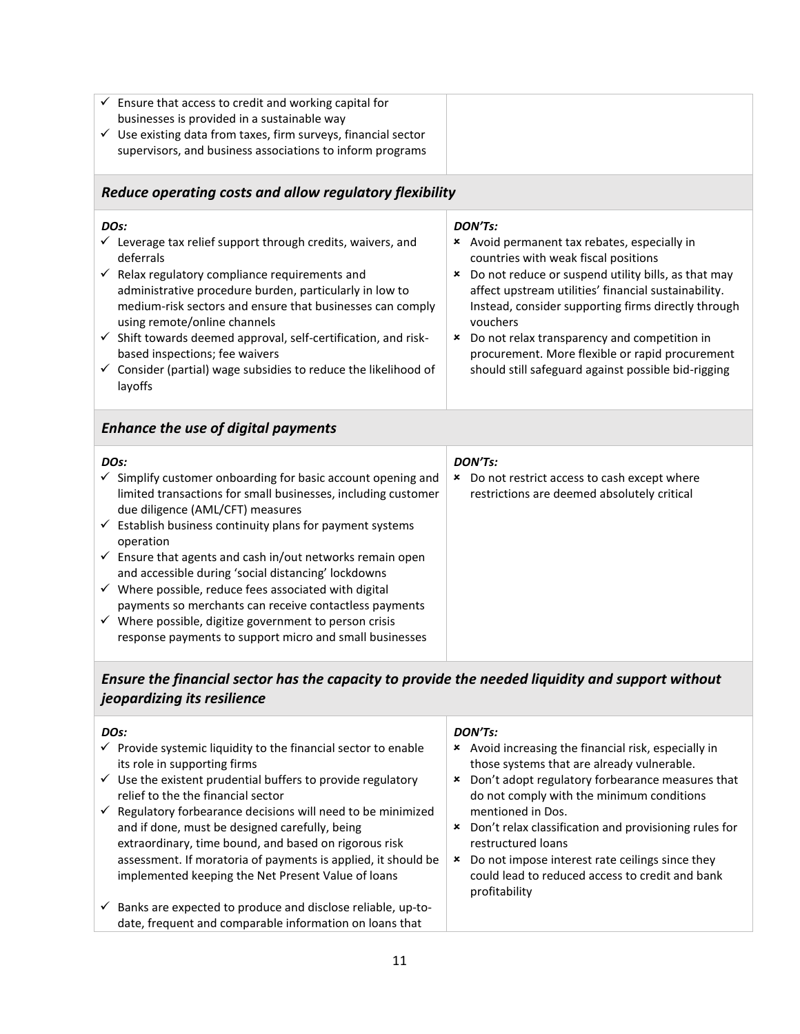| $\checkmark$ | $\overline{\phantom{a}}$ Ensure that access to credit and working capital for |  |
|--------------|-------------------------------------------------------------------------------|--|
|              | businesses is provided in a sustainable way                                   |  |
| $\checkmark$ | Use existing data from taxes, firm surveys, financial sector                  |  |
|              | supervisors, and business associations to inform programs                     |  |
|              |                                                                               |  |

# *Reduce operating costs and allow regulatory flexibility*

#### *DOs:*

- $\checkmark$  Leverage tax relief support through credits, waivers, and deferrals
- $\checkmark$  Relax regulatory compliance requirements and administrative procedure burden, particularly in low to medium-risk sectors and ensure that businesses can comply using remote/online channels
- $\checkmark$  Shift towards deemed approval, self-certification, and riskbased inspections; fee waivers
- $\checkmark$  Consider (partial) wage subsidies to reduce the likelihood of layoffs

#### *DON'Ts:*

- Avoid permanent tax rebates, especially in countries with weak fiscal positions
- Do not reduce or suspend utility bills, as that may affect upstream utilities' financial sustainability. Instead, consider supporting firms directly through vouchers
- Do not relax transparency and competition in procurement. More flexible or rapid procurement should still safeguard against possible bid-rigging

# *Enhance the use of digital payments*

| DO <sub>S</sub> :<br>$\checkmark$ Simplify customer onboarding for basic account opening and                                 | DON'Ts:<br>Do not restrict access to cash except where<br>× |
|------------------------------------------------------------------------------------------------------------------------------|-------------------------------------------------------------|
| limited transactions for small businesses, including customer<br>due diligence (AML/CFT) measures                            | restrictions are deemed absolutely critical                 |
| $\checkmark$ Establish business continuity plans for payment systems<br>operation                                            |                                                             |
| $\checkmark$ Ensure that agents and cash in/out networks remain open<br>and accessible during 'social distancing' lockdowns  |                                                             |
| $\checkmark$ Where possible, reduce fees associated with digital<br>payments so merchants can receive contactless payments   |                                                             |
| $\checkmark$ Where possible, digitize government to person crisis<br>response payments to support micro and small businesses |                                                             |

# *Ensure the financial sector has the capacity to provide the needed liquidity and support without jeopardizing its resilience*

| DO <sub>S</sub> :                                                                                                                                                                                                                                                                                                                                                                                                                                                                                                                      | DON'Ts:                                                                                                                                                                                                                                                                                                                                                                                                                                          |
|----------------------------------------------------------------------------------------------------------------------------------------------------------------------------------------------------------------------------------------------------------------------------------------------------------------------------------------------------------------------------------------------------------------------------------------------------------------------------------------------------------------------------------------|--------------------------------------------------------------------------------------------------------------------------------------------------------------------------------------------------------------------------------------------------------------------------------------------------------------------------------------------------------------------------------------------------------------------------------------------------|
| $\checkmark$ Provide systemic liquidity to the financial sector to enable<br>its role in supporting firms<br>$\checkmark$ Use the existent prudential buffers to provide regulatory<br>relief to the the financial sector<br>$\checkmark$ Regulatory forbearance decisions will need to be minimized<br>and if done, must be designed carefully, being<br>extraordinary, time bound, and based on rigorous risk<br>assessment. If moratoria of payments is applied, it should be<br>implemented keeping the Net Present Value of loans | Avoid increasing the financial risk, especially in<br>×<br>those systems that are already vulnerable.<br>Don't adopt regulatory forbearance measures that<br>×<br>do not comply with the minimum conditions<br>mentioned in Dos.<br>Don't relax classification and provisioning rules for<br>×<br>restructured loans<br>Do not impose interest rate ceilings since they<br>×<br>could lead to reduced access to credit and bank<br>profitability |
| Banks are expected to produce and disclose reliable, up-to-<br>$\checkmark$<br>date, frequent and comparable information on loans that                                                                                                                                                                                                                                                                                                                                                                                                 |                                                                                                                                                                                                                                                                                                                                                                                                                                                  |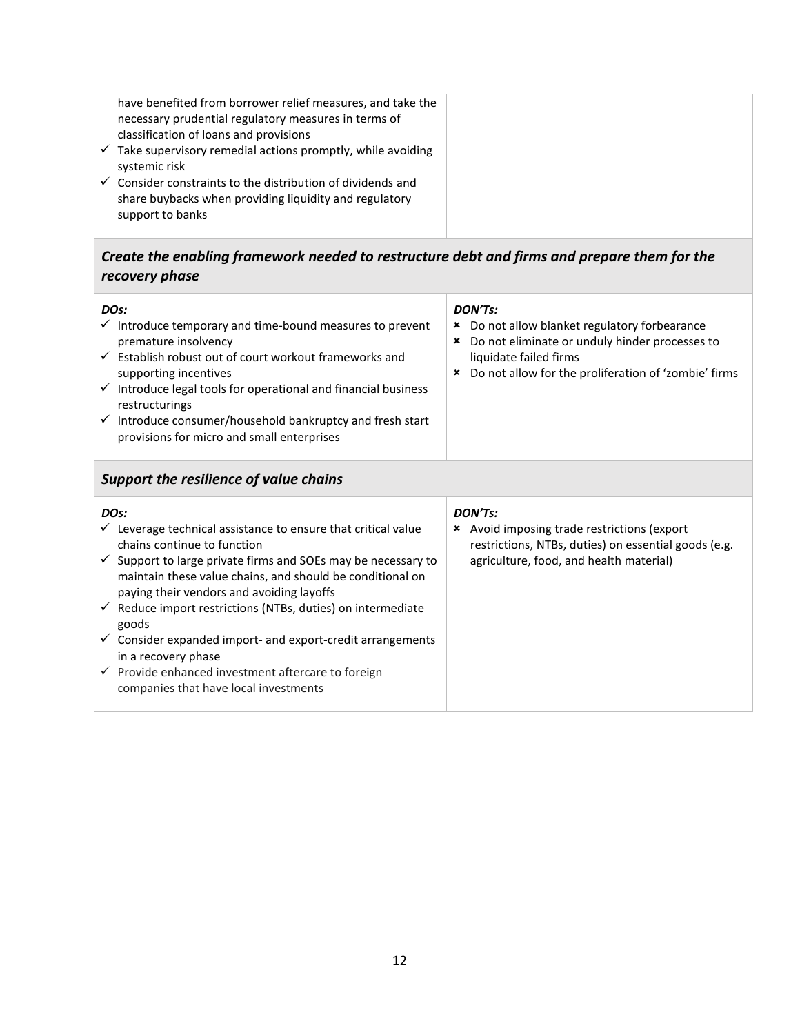| have benefited from borrower relief measures, and take the<br>necessary prudential regulatory measures in terms of<br>classification of loans and provisions |
|--------------------------------------------------------------------------------------------------------------------------------------------------------------|
| $\checkmark$ Take supervisory remedial actions promptly, while avoiding<br>systemic risk                                                                     |
| $\checkmark$ Consider constraints to the distribution of dividends and<br>share buybacks when providing liquidity and regulatory<br>support to banks         |

# *Create the enabling framework needed to restructure debt and firms and prepare them for the recovery phase*

| Do not allow for the proliferation of 'zombie' firms<br>supporting incentives<br>×<br>restructurings<br>provisions for micro and small enterprises | DO <sub>S</sub> :<br>$\checkmark$ Introduce temporary and time-bound measures to prevent<br>premature insolvency<br>$\checkmark$ Establish robust out of court workout frameworks and<br>$\checkmark$ Introduce legal tools for operational and financial business<br>$\checkmark$ Introduce consumer/household bankruptcy and fresh start | DON'Ts:<br>Do not allow blanket regulatory forbearance<br>×<br>Do not eliminate or unduly hinder processes to<br>×<br>liquidate failed firms |
|----------------------------------------------------------------------------------------------------------------------------------------------------|--------------------------------------------------------------------------------------------------------------------------------------------------------------------------------------------------------------------------------------------------------------------------------------------------------------------------------------------|----------------------------------------------------------------------------------------------------------------------------------------------|
|----------------------------------------------------------------------------------------------------------------------------------------------------|--------------------------------------------------------------------------------------------------------------------------------------------------------------------------------------------------------------------------------------------------------------------------------------------------------------------------------------------|----------------------------------------------------------------------------------------------------------------------------------------------|

# *Support the resilience of value chains*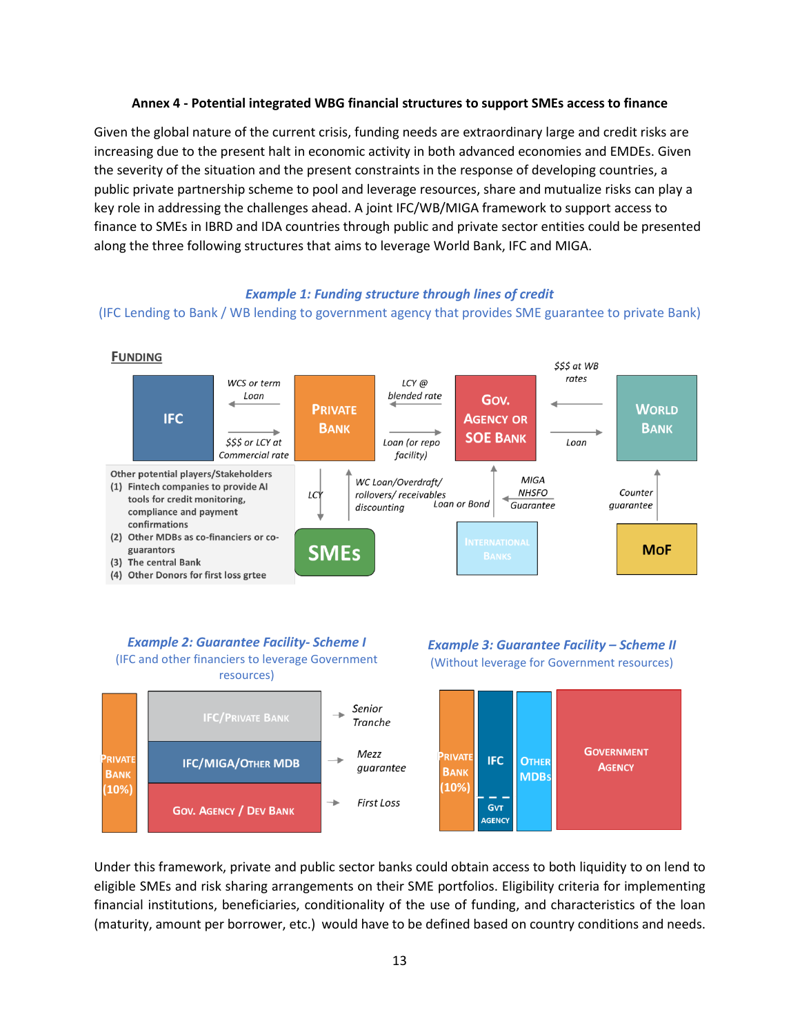#### **Annex 4 - Potential integrated WBG financial structures to support SMEs access to finance**

Given the global nature of the current crisis, funding needs are extraordinary large and credit risks are increasing due to the present halt in economic activity in both advanced economies and EMDEs. Given the severity of the situation and the present constraints in the response of developing countries, a public private partnership scheme to pool and leverage resources, share and mutualize risks can play a key role in addressing the challenges ahead. A joint IFC/WB/MIGA framework to support access to finance to SMEs in IBRD and IDA countries through public and private sector entities could be presented along the three following structures that aims to leverage World Bank, IFC and MIGA.

#### *Example 1: Funding structure through lines of credit*

#### (IFC Lending to Bank / WB lending to government agency that provides SME guarantee to private Bank)



#### *Example 2: Guarantee Facility- Scheme I*  (IFC and other financiers to leverage Government resources)





Under this framework, private and public sector banks could obtain access to both liquidity to on lend to eligible SMEs and risk sharing arrangements on their SME portfolios. Eligibility criteria for implementing financial institutions, beneficiaries, conditionality of the use of funding, and characteristics of the loan (maturity, amount per borrower, etc.) would have to be defined based on country conditions and needs.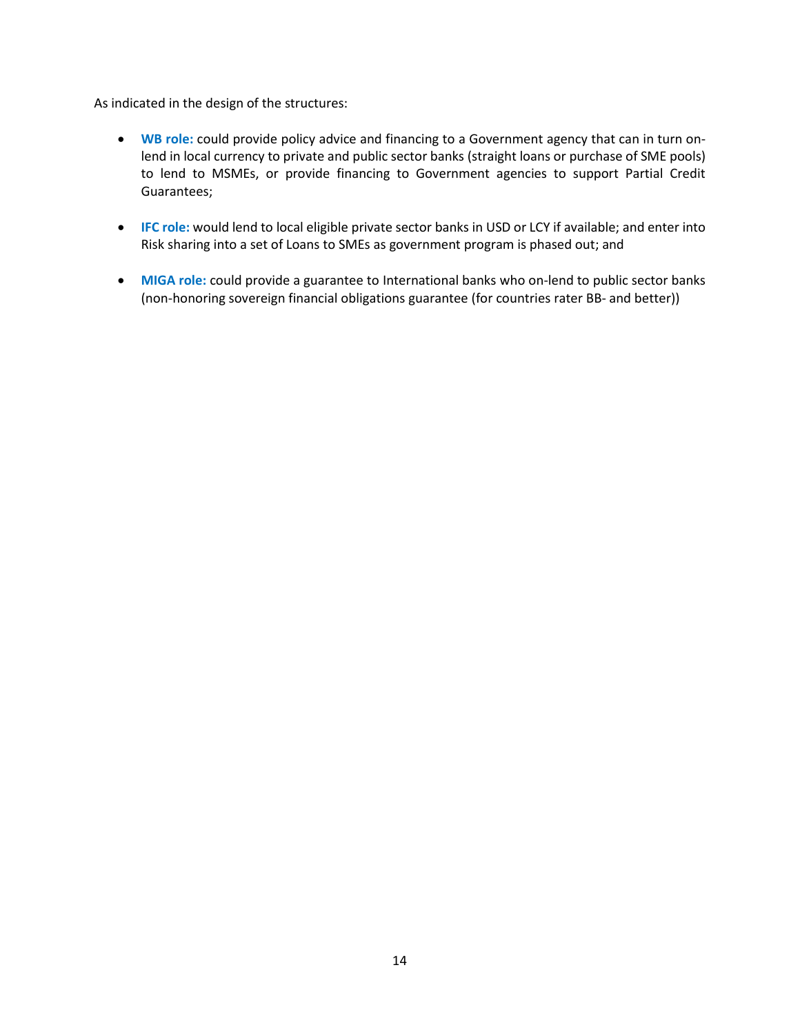As indicated in the design of the structures:

- **WB role:** could provide policy advice and financing to a Government agency that can in turn onlend in local currency to private and public sector banks (straight loans or purchase of SME pools) to lend to MSMEs, or provide financing to Government agencies to support Partial Credit Guarantees;
- **IFC role:** would lend to local eligible private sector banks in USD or LCY if available; and enter into Risk sharing into a set of Loans to SMEs as government program is phased out; and
- **MIGA role:** could provide a guarantee to International banks who on-lend to public sector banks (non-honoring sovereign financial obligations guarantee (for countries rater BB- and better))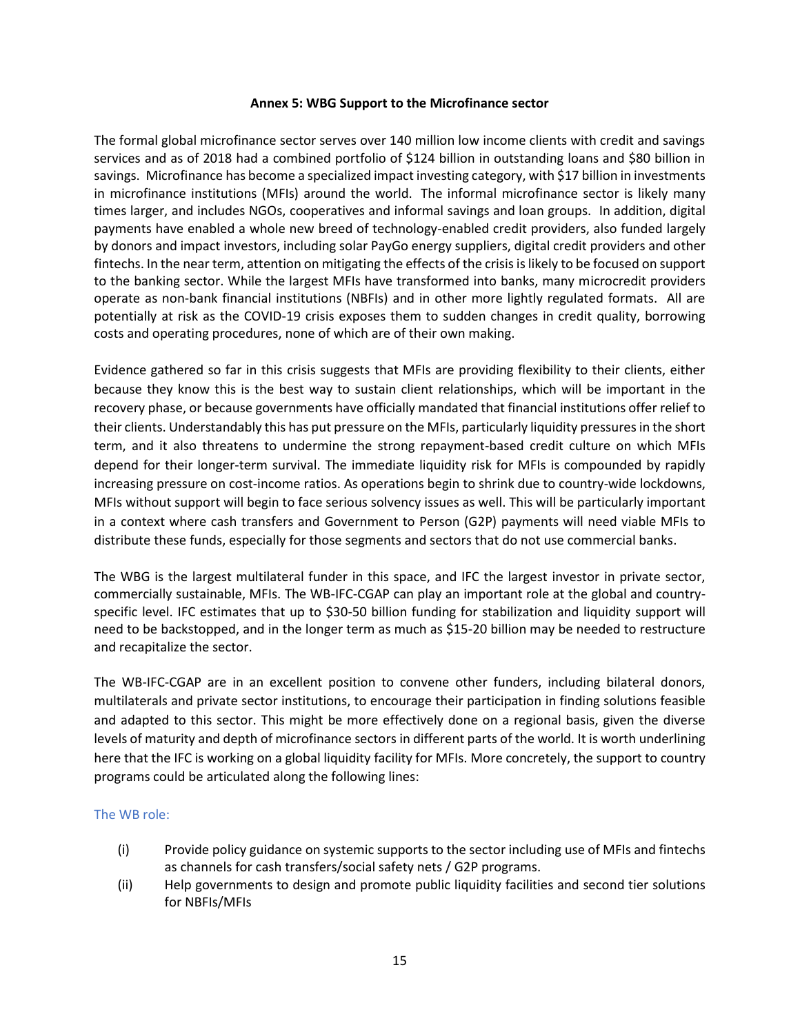#### **Annex 5: WBG Support to the Microfinance sector**

The formal global microfinance sector serves over 140 million low income clients with credit and savings services and as of 2018 had a combined portfolio of \$124 billion in outstanding loans and \$80 billion in savings. Microfinance has become a specialized impact investing category, wit[h \\$17 billion in investments](file:///C:/Users/wb90177/Downloads/symbiotics-symbiotics-2019-miv-survey.pdf) in microfinance institutions (MFIs) around the world. The informal microfinance sector is likely many times larger, and includes NGOs, cooperatives and informal savings and loan groups. In addition, digital payments have enabled a whole new breed of technology-enabled credit providers, also funded largely by donors and impact investors, including solar PayGo energy suppliers, digital credit providers and other fintechs. In the near term, attention on mitigating the effects of the crisis is likely to be focused on support to the banking sector. While the largest MFIs have transformed into banks, many microcredit providers operate as non-bank financial institutions (NBFIs) and in other more lightly regulated formats. All are potentially at risk as the COVID-19 crisis exposes them to sudden changes in credit quality, borrowing costs and operating procedures, none of which are of their own making.

Evidence gathered so far in this crisis suggests that MFIs are providing flexibility to their clients, either because they know this is the best way to sustain client relationships, which will be important in the recovery phase, or because governments have officially mandated that financial institutions offer relief to their clients. Understandably this has put pressure on the MFIs, particularly liquidity pressures in the short term, and it also threatens to undermine the strong repayment-based credit culture on which MFIs depend for their longer-term survival. The immediate liquidity risk for MFIs is compounded by rapidly increasing pressure on cost-income ratios. As operations begin to shrink due to country-wide lockdowns, MFIs without support will begin to face serious solvency issues as well. This will be particularly important in a context where cash transfers and Government to Person (G2P) payments will need viable MFIs to distribute these funds, especially for those segments and sectors that do not use commercial banks.

The WBG is the largest multilateral funder in this space, and IFC the largest investor in private sector, commercially sustainable, MFIs. The WB-IFC-CGAP can play an important role at the global and countryspecific level. IFC estimates that up to \$30-50 billion funding for stabilization and liquidity support will need to be backstopped, and in the longer term as much as \$15-20 billion may be needed to restructure and recapitalize the sector.

The WB-IFC-CGAP are in an excellent position to convene other funders, including bilateral donors, multilaterals and private sector institutions, to encourage their participation in finding solutions feasible and adapted to this sector. This might be more effectively done on a regional basis, given the diverse levels of maturity and depth of microfinance sectors in different parts of the world. It is worth underlining here that the IFC is working on a global liquidity facility for MFIs. More concretely, the support to country programs could be articulated along the following lines:

## The WB role:

- (i) Provide policy guidance on systemic supports to the sector including use of MFIs and fintechs as channels for cash transfers/social safety nets / G2P programs.
- (ii) Help governments to design and promote public liquidity facilities and second tier solutions for NBFIs/MFIs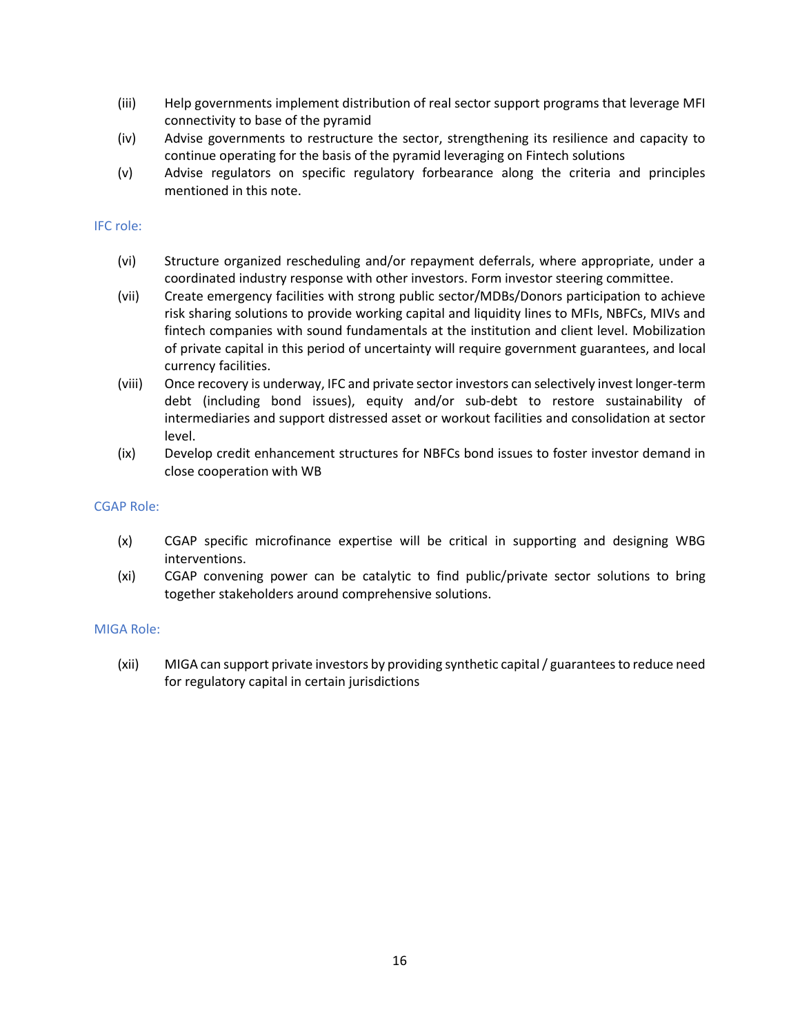- (iii) Help governments implement distribution of real sector support programs that leverage MFI connectivity to base of the pyramid
- (iv) Advise governments to restructure the sector, strengthening its resilience and capacity to continue operating for the basis of the pyramid leveraging on Fintech solutions
- (v) Advise regulators on specific regulatory forbearance along the criteria and principles mentioned in this note.

#### IFC role:

- (vi) Structure organized rescheduling and/or repayment deferrals, where appropriate, under a coordinated industry response with other investors. Form investor steering committee.
- (vii) Create emergency facilities with strong public sector/MDBs/Donors participation to achieve risk sharing solutions to provide working capital and liquidity lines to MFIs, NBFCs, MIVs and fintech companies with sound fundamentals at the institution and client level. Mobilization of private capital in this period of uncertainty will require government guarantees, and local currency facilities.
- (viii) Once recovery is underway, IFC and private sector investors can selectively invest longer-term debt (including bond issues), equity and/or sub-debt to restore sustainability of intermediaries and support distressed asset or workout facilities and consolidation at sector level.
- (ix) Develop credit enhancement structures for NBFCs bond issues to foster investor demand in close cooperation with WB

#### CGAP Role:

- (x) CGAP specific microfinance expertise will be critical in supporting and designing WBG interventions.
- (xi) CGAP convening power can be catalytic to find public/private sector solutions to bring together stakeholders around comprehensive solutions.

#### MIGA Role:

(xii) MIGA can support private investors by providing synthetic capital / guarantees to reduce need for regulatory capital in certain jurisdictions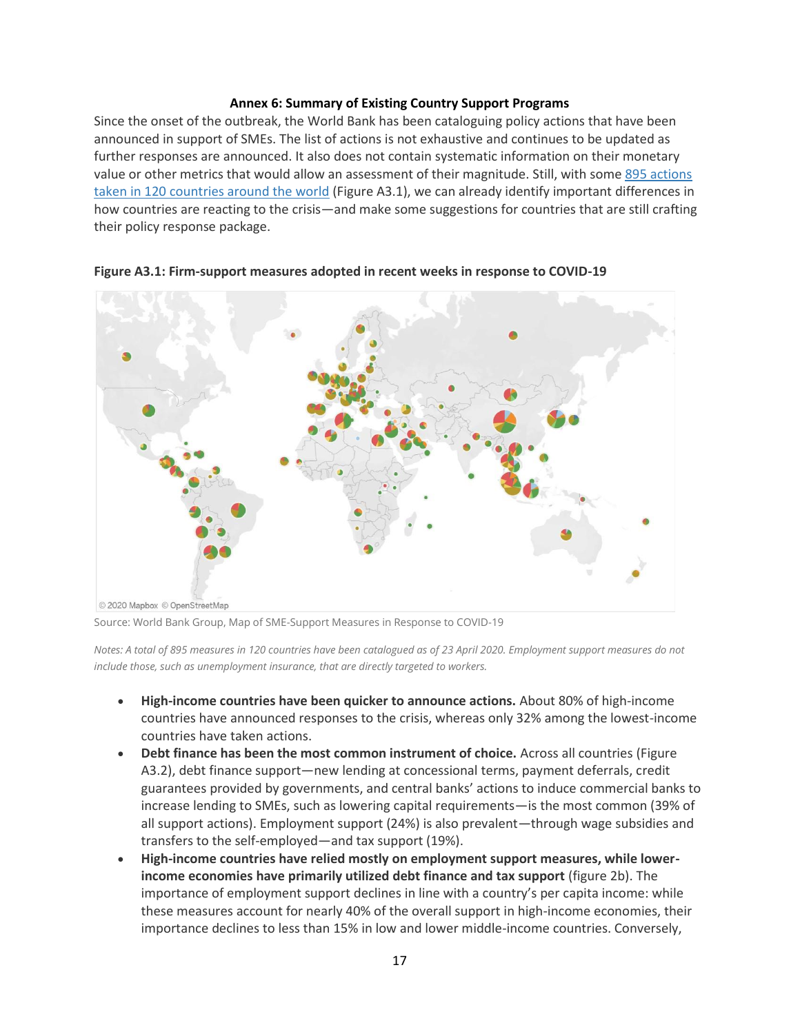#### **Annex 6: Summary of Existing Country Support Programs**

Since the onset of the outbreak, the World Bank has been cataloguing policy actions that have been announced in support of SMEs. The list of actions is not exhaustive and continues to be updated as further responses are announced. It also does not contain systematic information on their monetary value or other metrics that would allow an assessment of their magnitude. Still, with some [895 actions](https://dataviz.worldbank.org/views/SME-COVID19/Overview?:embed=y&:isGuestRedirectFromVizportal=y&:display_count=n&:showAppBanner=false&:origin=viz_share_link&:showVizHome=n)  [taken in 120 countries around the world](https://dataviz.worldbank.org/views/SME-COVID19/Overview?:embed=y&:isGuestRedirectFromVizportal=y&:display_count=n&:showAppBanner=false&:origin=viz_share_link&:showVizHome=n) (Figure A3.1), we can already identify important differences in how countries are reacting to the crisis—and make some suggestions for countries that are still crafting their policy response package.



**Figure A3.1: Firm-support measures adopted in recent weeks in response to COVID-19**

Source: World Bank Group, Map of SME-Support Measures in Response to COVID-19

*Notes: A total of 895 measures in 120 countries have been catalogued as of 23 April 2020. Employment support measures do not include those, such as unemployment insurance, that are directly targeted to workers.*

- **High-income countries have been quicker to announce actions.** About 80% of high-income countries have announced responses to the crisis, whereas only 32% among the lowest-income countries have taken actions.
- **Debt finance has been the most common instrument of choice.** Across all countries (Figure A3.2), debt finance support—new lending at concessional terms, payment deferrals, credit guarantees provided by governments, and central banks' actions to induce commercial banks to increase lending to SMEs, such as lowering capital requirements—is the most common (39% of all support actions). Employment support (24%) is also prevalent—through wage subsidies and transfers to the self-employed—and tax support (19%).
- **High-income countries have relied mostly on employment support measures, while lowerincome economies have primarily utilized debt finance and tax support** (figure 2b). The importance of employment support declines in line with a country's per capita income: while these measures account for nearly 40% of the overall support in high-income economies, their importance declines to less than 15% in low and lower middle-income countries. Conversely,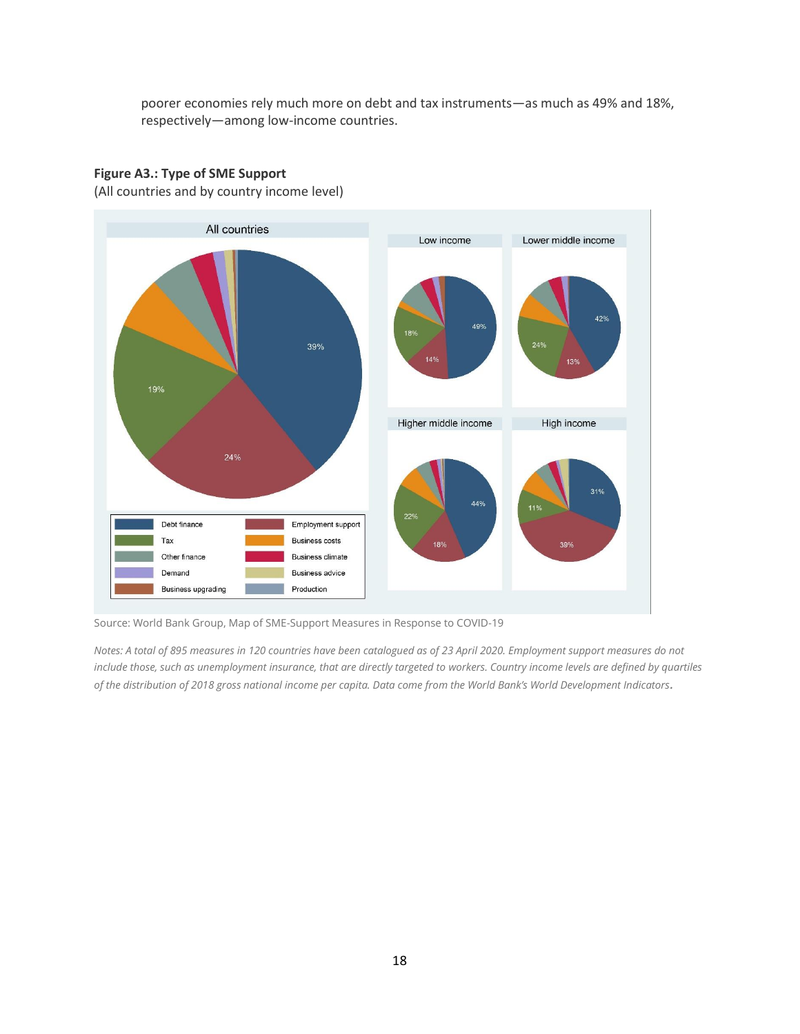poorer economies rely much more on debt and tax instruments—as much as 49% and 18%, respectively—among low-income countries.

# **Figure A3.: Type of SME Support**

(All countries and by country income level)



Source: World Bank Group, Map of SME-Support Measures in Response to COVID-19

*Notes: A total of 895 measures in 120 countries have been catalogued as of 23 April 2020. Employment support measures do not include those, such as unemployment insurance, that are directly targeted to workers. Country income levels are defined by quartiles of the distribution of 2018 gross national income per capita. Data come from the World Bank's World Development Indicators.*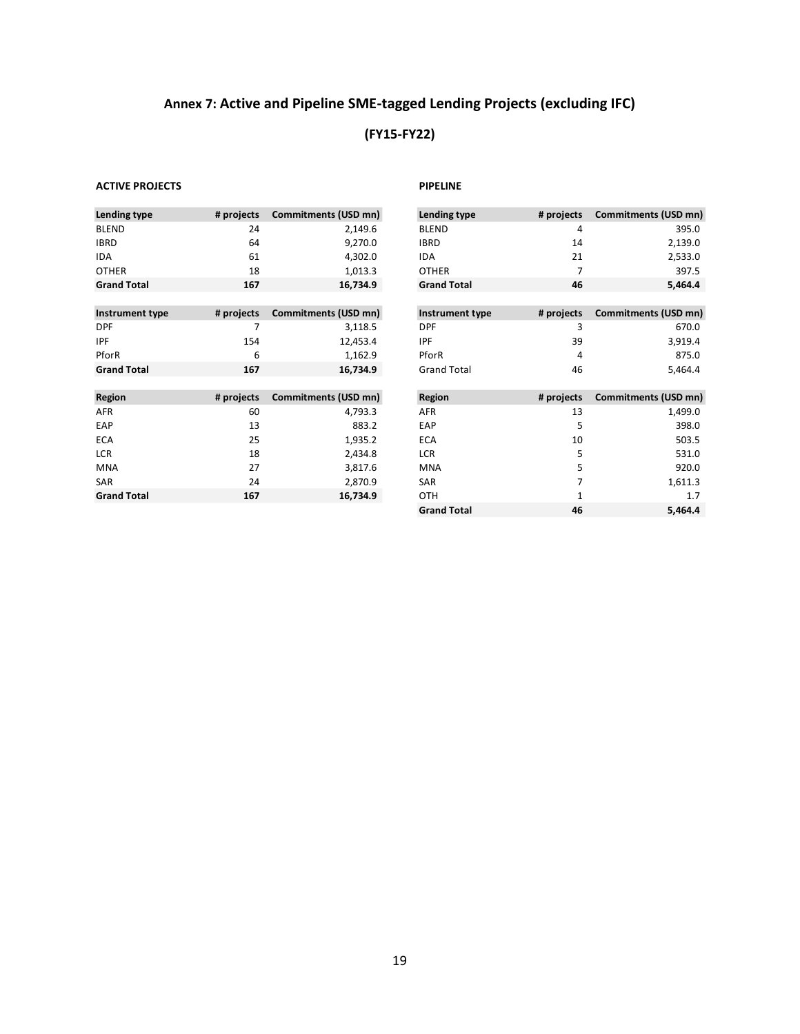# **Annex 7: Active and Pipeline SME-tagged Lending Projects (excluding IFC)**

# **(FY15-FY22)**

#### **ACTIVE PROJECTS PIPELINE**

| Lending type       | # projects | Commitments (USD mn) |
|--------------------|------------|----------------------|
| <b>BLEND</b>       | 24         | 2,149.6              |
| <b>IBRD</b>        | 64         | 9,270.0              |
| <b>IDA</b>         | 61         | 4,302.0              |
| <b>OTHER</b>       | 18         | 1,013.3              |
| <b>Grand Total</b> | 167        | 16,734.9             |

| Instrument type    | # projects | Commitments (USD mn) |
|--------------------|------------|----------------------|
| <b>DPF</b>         |            | 3,118.5              |
| <b>IPF</b>         | 154        | 12.453.4             |
| PforR              | 6          | 1.162.9              |
| <b>Grand Total</b> | 167        | 16.734.9             |

| # projects | Commitments (USD mn) | Region     | # projects | Commitments (USD mn) |
|------------|----------------------|------------|------------|----------------------|
| 60         | 4,793.3              | AFR        | 13         | 1,499.0              |
| 13         | 883.2                | EAP        |            | 398.0                |
| 25         | 1,935.2              | ECA        | 10         | 503.5                |
| 18         | 2,434.8              | <b>LCR</b> |            | 531.0                |
| 27         | 3,817.6              | <b>MNA</b> |            | 920.0                |
| 24         | 2,870.9              | <b>SAR</b> |            | 1,611.3              |
| 167        | 16,734.9             | <b>OTH</b> |            | 1.7                  |
|            |                      |            |            |                      |

|            |                      |                      |              | Commitments (USD mn)        |
|------------|----------------------|----------------------|--------------|-----------------------------|
| 24         | 2,149.6              | <b>BLEND</b>         | 4            | 395.0                       |
| 64         | 9,270.0              | <b>IBRD</b>          | 14           | 2,139.0                     |
| 61         | 4,302.0              | <b>IDA</b>           | 21           | 2,533.0                     |
| 18         | 1,013.3              | <b>OTHER</b>         |              | 397.5                       |
| 167        | 16,734.9             | <b>Grand Total</b>   | 46           | 5,464.4                     |
|            |                      |                      |              |                             |
| # projects | Commitments (USD mn) | Instrument type      | # projects   | <b>Commitments (USD mn)</b> |
|            | 3,118.5              | <b>DPF</b>           | 3            | 670.0                       |
| 154        | 12,453.4             | <b>IPF</b>           | 39           | 3,919.4                     |
| 6          | 1,162.9              | PforR                | 4            | 875.0                       |
| 167        | 16,734.9             | <b>Grand Total</b>   | 46           | 5,464.4                     |
|            |                      |                      |              |                             |
| # projects | Commitments (USD mn) | Region               | # projects   | Commitments (USD mn)        |
| 60         | 4,793.3              | AFR                  | 13           | 1,499.0                     |
| 13         | 883.2                | EAP                  | 5            | 398.0                       |
| 25         | 1,935.2              | <b>ECA</b>           | 10           | 503.5                       |
| 18         | 2,434.8              | <b>LCR</b>           | 5            | 531.0                       |
| 27         | 3,817.6              | <b>MNA</b>           | 5            | 920.0                       |
|            | # projects           | Commitments (USD mn) | Lending type | # projects                  |

**Grand Total 46 5,464.4**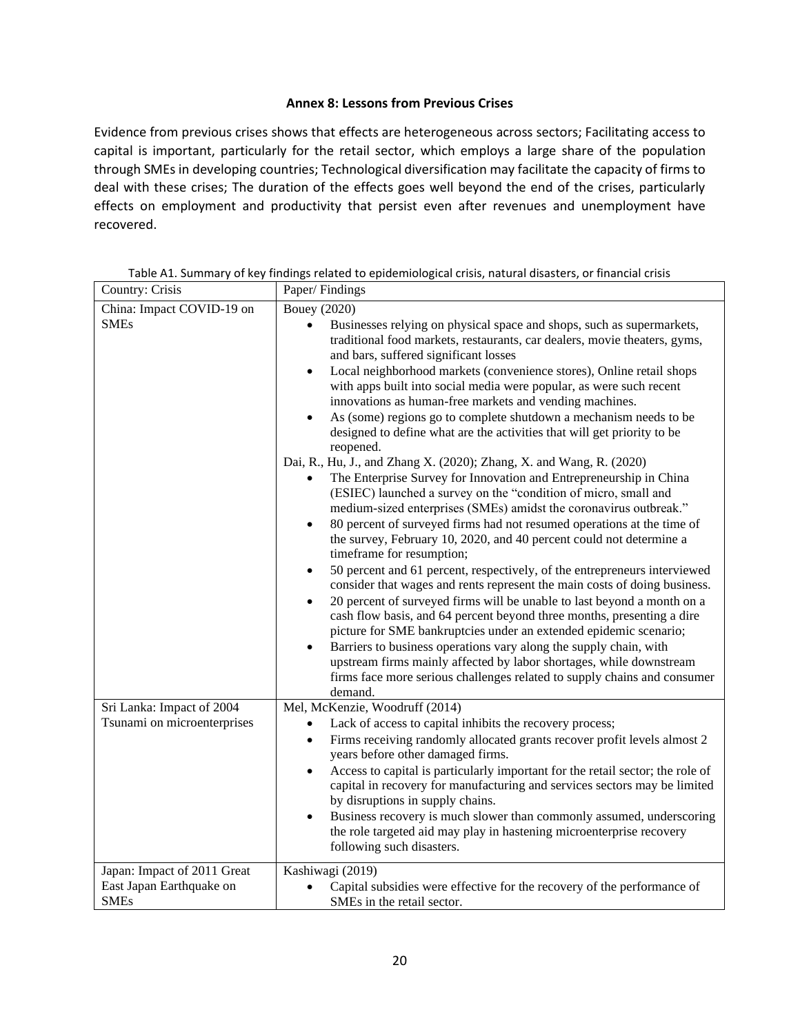## **Annex 8: Lessons from Previous Crises**

Evidence from previous crises shows that effects are heterogeneous across sectors; Facilitating access to capital is important, particularly for the retail sector, which employs a large share of the population through SMEs in developing countries; Technological diversification may facilitate the capacity of firms to deal with these crises; The duration of the effects goes well beyond the end of the crises, particularly effects on employment and productivity that persist even after revenues and unemployment have recovered.

| Country: Crisis                                                        | Paper/Findings                                                                                                                                                                                                                                                                                                                                                                                                                                                                                                                                                                                                                                                                                                                                                                                                                                                                                                                                                                                                                                                                                                                                                                                                                                                                                                                                                                                                                                                                                                                                                                                                                                                                                                                                |  |  |  |
|------------------------------------------------------------------------|-----------------------------------------------------------------------------------------------------------------------------------------------------------------------------------------------------------------------------------------------------------------------------------------------------------------------------------------------------------------------------------------------------------------------------------------------------------------------------------------------------------------------------------------------------------------------------------------------------------------------------------------------------------------------------------------------------------------------------------------------------------------------------------------------------------------------------------------------------------------------------------------------------------------------------------------------------------------------------------------------------------------------------------------------------------------------------------------------------------------------------------------------------------------------------------------------------------------------------------------------------------------------------------------------------------------------------------------------------------------------------------------------------------------------------------------------------------------------------------------------------------------------------------------------------------------------------------------------------------------------------------------------------------------------------------------------------------------------------------------------|--|--|--|
| China: Impact COVID-19 on<br><b>SMEs</b>                               | Bouey (2020)<br>Businesses relying on physical space and shops, such as supermarkets,<br>traditional food markets, restaurants, car dealers, movie theaters, gyms,<br>and bars, suffered significant losses<br>Local neighborhood markets (convenience stores), Online retail shops<br>$\bullet$<br>with apps built into social media were popular, as were such recent<br>innovations as human-free markets and vending machines.<br>As (some) regions go to complete shutdown a mechanism needs to be<br>designed to define what are the activities that will get priority to be<br>reopened.<br>Dai, R., Hu, J., and Zhang X. (2020); Zhang, X. and Wang, R. (2020)<br>The Enterprise Survey for Innovation and Entrepreneurship in China<br>(ESIEC) launched a survey on the "condition of micro, small and<br>medium-sized enterprises (SMEs) amidst the coronavirus outbreak."<br>80 percent of surveyed firms had not resumed operations at the time of<br>$\bullet$<br>the survey, February 10, 2020, and 40 percent could not determine a<br>timeframe for resumption;<br>50 percent and 61 percent, respectively, of the entrepreneurs interviewed<br>$\bullet$<br>consider that wages and rents represent the main costs of doing business.<br>20 percent of surveyed firms will be unable to last beyond a month on a<br>$\bullet$<br>cash flow basis, and 64 percent beyond three months, presenting a dire<br>picture for SME bankruptcies under an extended epidemic scenario;<br>Barriers to business operations vary along the supply chain, with<br>$\bullet$<br>upstream firms mainly affected by labor shortages, while downstream<br>firms face more serious challenges related to supply chains and consumer<br>demand. |  |  |  |
| Sri Lanka: Impact of 2004<br>Tsunami on microenterprises               | Mel, McKenzie, Woodruff (2014)<br>Lack of access to capital inhibits the recovery process;<br>$\bullet$<br>Firms receiving randomly allocated grants recover profit levels almost 2<br>$\bullet$<br>years before other damaged firms.<br>Access to capital is particularly important for the retail sector; the role of<br>$\bullet$<br>capital in recovery for manufacturing and services sectors may be limited<br>by disruptions in supply chains.<br>Business recovery is much slower than commonly assumed, underscoring<br>$\bullet$<br>the role targeted aid may play in hastening microenterprise recovery<br>following such disasters.                                                                                                                                                                                                                                                                                                                                                                                                                                                                                                                                                                                                                                                                                                                                                                                                                                                                                                                                                                                                                                                                                               |  |  |  |
| Japan: Impact of 2011 Great<br>East Japan Earthquake on<br><b>SMEs</b> | Kashiwagi (2019)<br>Capital subsidies were effective for the recovery of the performance of<br>SMEs in the retail sector.                                                                                                                                                                                                                                                                                                                                                                                                                                                                                                                                                                                                                                                                                                                                                                                                                                                                                                                                                                                                                                                                                                                                                                                                                                                                                                                                                                                                                                                                                                                                                                                                                     |  |  |  |

| Table A1. Summary of key findings related to epidemiological crisis, natural disasters, or financial crisis |  |  |  |
|-------------------------------------------------------------------------------------------------------------|--|--|--|
|                                                                                                             |  |  |  |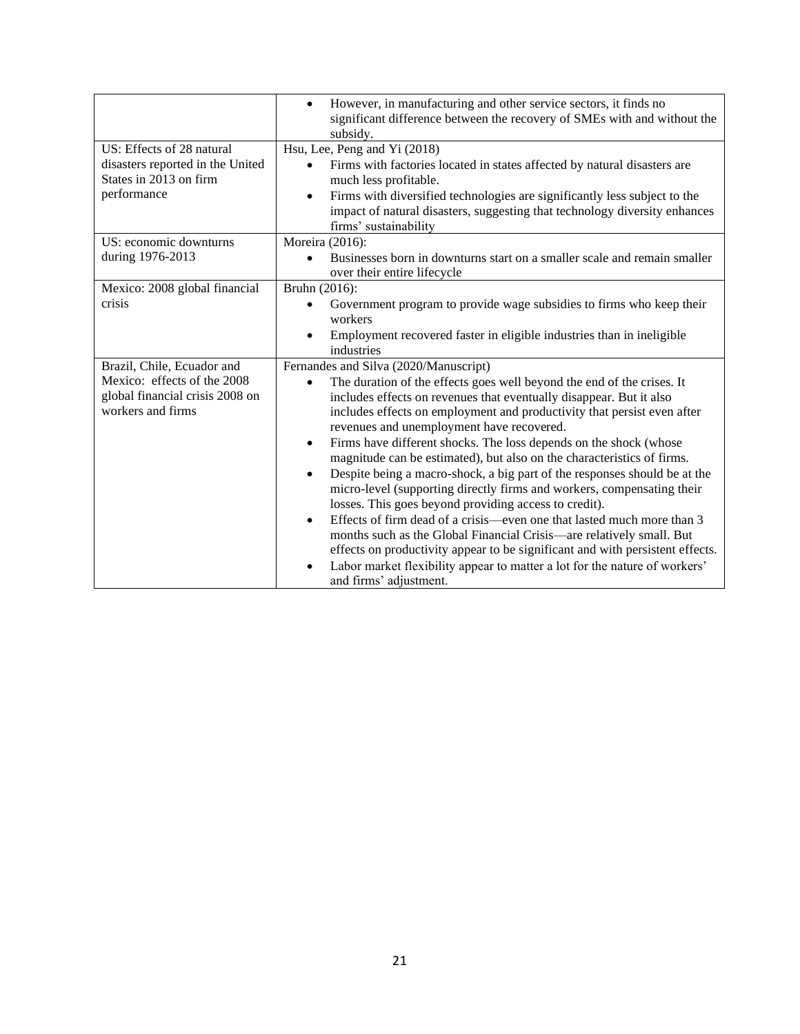|                                                                                                                   | However, in manufacturing and other service sectors, it finds no<br>$\bullet$<br>significant difference between the recovery of SMEs with and without the<br>subsidy.                                                                                                                                                                                                                                                                                                                                                                                                                                                                                                                                                                                                                                                                                                                                                                                                                                                                                                                     |
|-------------------------------------------------------------------------------------------------------------------|-------------------------------------------------------------------------------------------------------------------------------------------------------------------------------------------------------------------------------------------------------------------------------------------------------------------------------------------------------------------------------------------------------------------------------------------------------------------------------------------------------------------------------------------------------------------------------------------------------------------------------------------------------------------------------------------------------------------------------------------------------------------------------------------------------------------------------------------------------------------------------------------------------------------------------------------------------------------------------------------------------------------------------------------------------------------------------------------|
| US: Effects of 28 natural<br>disasters reported in the United<br>States in 2013 on firm<br>performance            | Hsu, Lee, Peng and Yi (2018)<br>Firms with factories located in states affected by natural disasters are<br>$\bullet$<br>much less profitable.<br>Firms with diversified technologies are significantly less subject to the<br>$\bullet$<br>impact of natural disasters, suggesting that technology diversity enhances<br>firms' sustainability                                                                                                                                                                                                                                                                                                                                                                                                                                                                                                                                                                                                                                                                                                                                           |
| US: economic downturns<br>during 1976-2013                                                                        | Moreira (2016):<br>Businesses born in downturns start on a smaller scale and remain smaller<br>over their entire lifecycle                                                                                                                                                                                                                                                                                                                                                                                                                                                                                                                                                                                                                                                                                                                                                                                                                                                                                                                                                                |
| Mexico: 2008 global financial<br>crisis                                                                           | Bruhn (2016):<br>Government program to provide wage subsidies to firms who keep their<br>workers<br>Employment recovered faster in eligible industries than in ineligible<br>industries                                                                                                                                                                                                                                                                                                                                                                                                                                                                                                                                                                                                                                                                                                                                                                                                                                                                                                   |
| Brazil, Chile, Ecuador and<br>Mexico: effects of the 2008<br>global financial crisis 2008 on<br>workers and firms | Fernandes and Silva (2020/Manuscript)<br>The duration of the effects goes well beyond the end of the crises. It<br>$\bullet$<br>includes effects on revenues that eventually disappear. But it also<br>includes effects on employment and productivity that persist even after<br>revenues and unemployment have recovered.<br>Firms have different shocks. The loss depends on the shock (whose<br>$\bullet$<br>magnitude can be estimated), but also on the characteristics of firms.<br>Despite being a macro-shock, a big part of the responses should be at the<br>$\bullet$<br>micro-level (supporting directly firms and workers, compensating their<br>losses. This goes beyond providing access to credit).<br>Effects of firm dead of a crisis—even one that lasted much more than 3<br>$\bullet$<br>months such as the Global Financial Crisis—are relatively small. But<br>effects on productivity appear to be significant and with persistent effects.<br>Labor market flexibility appear to matter a lot for the nature of workers'<br>$\bullet$<br>and firms' adjustment. |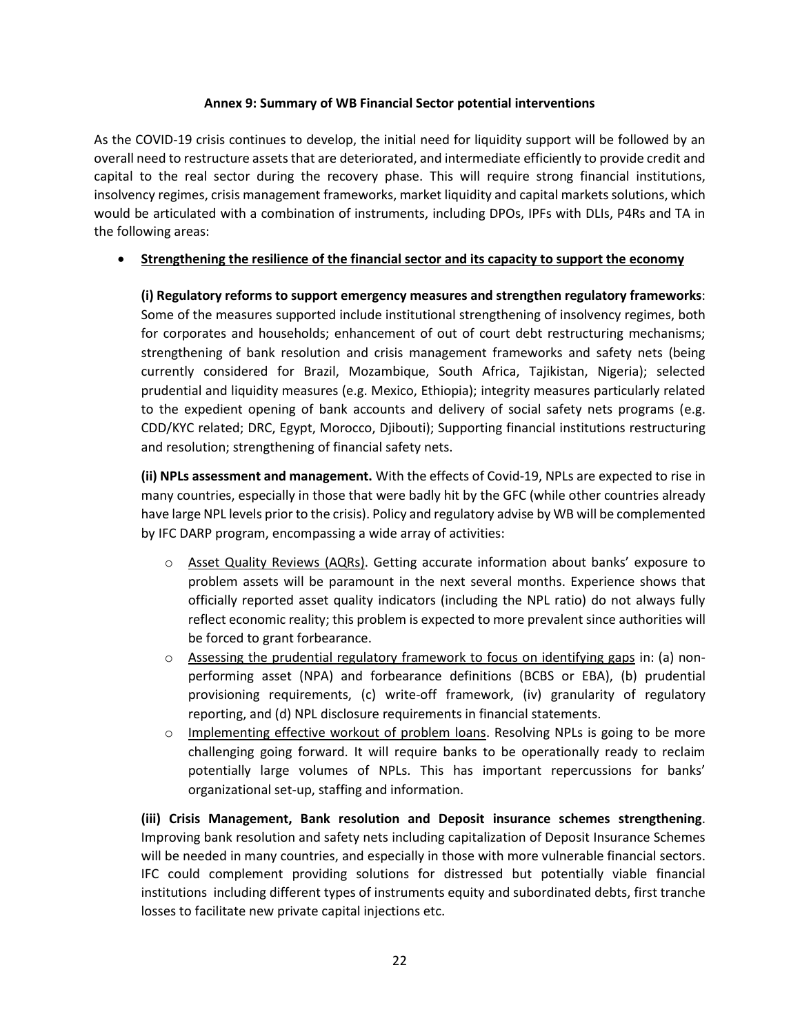# **Annex 9: Summary of WB Financial Sector potential interventions**

As the COVID-19 crisis continues to develop, the initial need for liquidity support will be followed by an overall need to restructure assets that are deteriorated, and intermediate efficiently to provide credit and capital to the real sector during the recovery phase. This will require strong financial institutions, insolvency regimes, crisis management frameworks, market liquidity and capital markets solutions, which would be articulated with a combination of instruments, including DPOs, IPFs with DLIs, P4Rs and TA in the following areas:

# • **Strengthening the resilience of the financial sector and its capacity to support the economy**

**(i) Regulatory reforms to support emergency measures and strengthen regulatory frameworks**: Some of the measures supported include institutional strengthening of insolvency regimes, both for corporates and households; enhancement of out of court debt restructuring mechanisms; strengthening of bank resolution and crisis management frameworks and safety nets (being currently considered for Brazil, Mozambique, South Africa, Tajikistan, Nigeria); selected prudential and liquidity measures (e.g. Mexico, Ethiopia); integrity measures particularly related to the expedient opening of bank accounts and delivery of social safety nets programs (e.g. CDD/KYC related; DRC, Egypt, Morocco, Djibouti); Supporting financial institutions restructuring and resolution; strengthening of financial safety nets.

**(ii) NPLs assessment and management.** With the effects of Covid-19, NPLs are expected to rise in many countries, especially in those that were badly hit by the GFC (while other countries already have large NPL levels prior to the crisis). Policy and regulatory advise by WB will be complemented by IFC DARP program, encompassing a wide array of activities:

- o Asset Quality Reviews (AQRs). Getting accurate information about banks' exposure to problem assets will be paramount in the next several months. Experience shows that officially reported asset quality indicators (including the NPL ratio) do not always fully reflect economic reality; this problem is expected to more prevalent since authorities will be forced to grant forbearance.
- $\circ$  Assessing the prudential regulatory framework to focus on identifying gaps in: (a) nonperforming asset (NPA) and forbearance definitions (BCBS or EBA), (b) prudential provisioning requirements, (c) write-off framework, (iv) granularity of regulatory reporting, and (d) NPL disclosure requirements in financial statements.
- $\circ$  Implementing effective workout of problem loans. Resolving NPLs is going to be more challenging going forward. It will require banks to be operationally ready to reclaim potentially large volumes of NPLs. This has important repercussions for banks' organizational set-up, staffing and information.

**(iii) Crisis Management, Bank resolution and Deposit insurance schemes strengthening**. Improving bank resolution and safety nets including capitalization of Deposit Insurance Schemes will be needed in many countries, and especially in those with more vulnerable financial sectors. IFC could complement providing solutions for distressed but potentially viable financial institutions including different types of instruments equity and subordinated debts, first tranche losses to facilitate new private capital injections etc.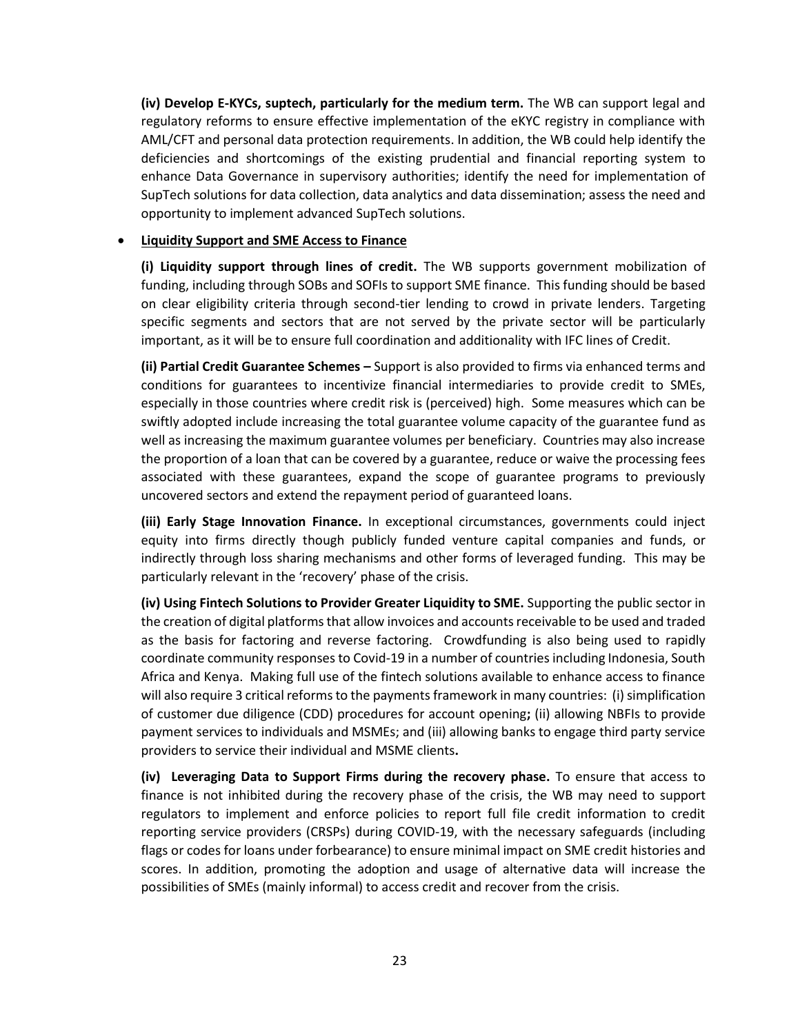**(iv) Develop E-KYCs, suptech, particularly for the medium term.** The WB can support legal and regulatory reforms to ensure effective implementation of the eKYC registry in compliance with AML/CFT and personal data protection requirements. In addition, the WB could help identify the deficiencies and shortcomings of the existing prudential and financial reporting system to enhance Data Governance in supervisory authorities; identify the need for implementation of SupTech solutions for data collection, data analytics and data dissemination; assess the need and opportunity to implement advanced SupTech solutions.

## • **Liquidity Support and SME Access to Finance**

**(i) Liquidity support through lines of credit.** The WB supports government mobilization of funding, including through SOBs and SOFIs to support SME finance. This funding should be based on clear eligibility criteria through second-tier lending to crowd in private lenders. Targeting specific segments and sectors that are not served by the private sector will be particularly important, as it will be to ensure full coordination and additionality with IFC lines of Credit.

**(ii) Partial Credit Guarantee Schemes –** Support is also provided to firms via enhanced terms and conditions for guarantees to incentivize financial intermediaries to provide credit to SMEs, especially in those countries where credit risk is (perceived) high. Some measures which can be swiftly adopted include increasing the total guarantee volume capacity of the guarantee fund as well as increasing the maximum guarantee volumes per beneficiary. Countries may also increase the proportion of a loan that can be covered by a guarantee, reduce or waive the processing fees associated with these guarantees, expand the scope of guarantee programs to previously uncovered sectors and extend the repayment period of guaranteed loans.

**(iii) Early Stage Innovation Finance.** In exceptional circumstances, governments could inject equity into firms directly though publicly funded venture capital companies and funds, or indirectly through loss sharing mechanisms and other forms of leveraged funding. This may be particularly relevant in the 'recovery' phase of the crisis.

**(iv) Using Fintech Solutions to Provider Greater Liquidity to SME.** Supporting the public sector in the creation of digital platforms that allow invoices and accounts receivable to be used and traded as the basis for factoring and reverse factoring. Crowdfunding is also being used to rapidly coordinate community responses to Covid-19 in a number of countries including Indonesia, South Africa and Kenya. Making full use of the fintech solutions available to enhance access to finance will also require 3 critical reforms to the payments framework in many countries: (i) simplification of customer due diligence (CDD) procedures for account opening**;** (ii) allowing NBFIs to provide payment services to individuals and MSMEs; and (iii) allowing banks to engage third party service providers to service their individual and MSME clients**.** 

**(iv) Leveraging Data to Support Firms during the recovery phase.** To ensure that access to finance is not inhibited during the recovery phase of the crisis, the WB may need to support regulators to implement and enforce policies to report full file credit information to credit reporting service providers (CRSPs) during COVID-19, with the necessary safeguards (including flags or codes for loans under forbearance) to ensure minimal impact on SME credit histories and scores. In addition, promoting the adoption and usage of alternative data will increase the possibilities of SMEs (mainly informal) to access credit and recover from the crisis.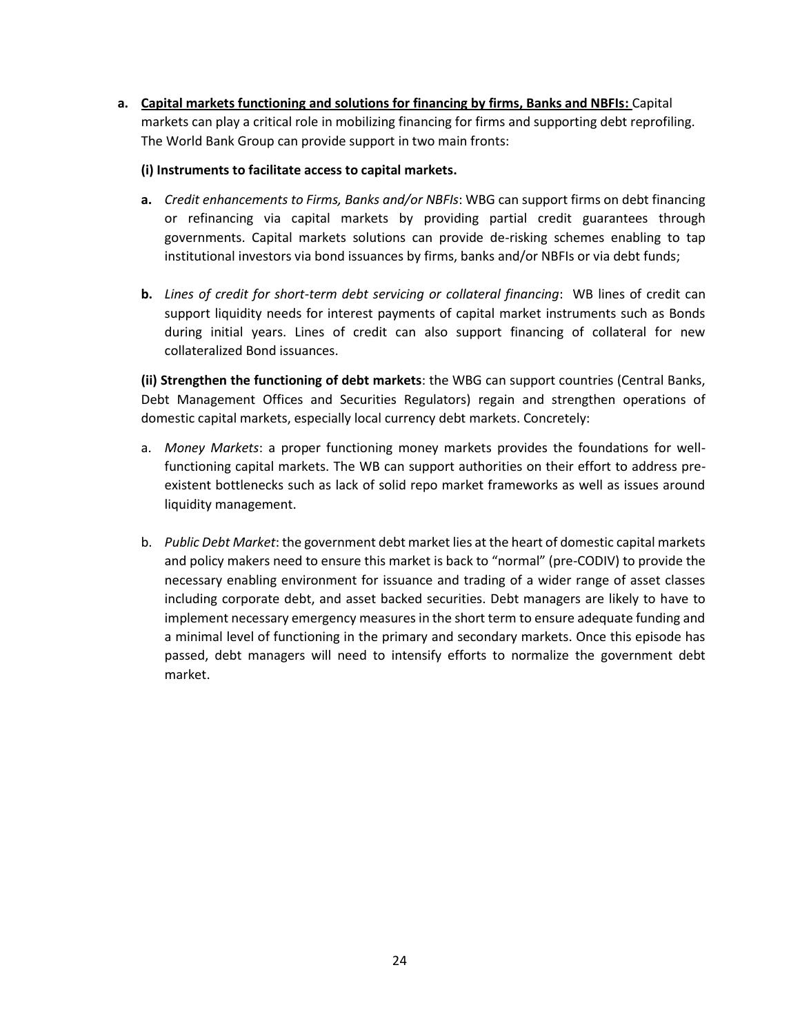**a. Capital markets functioning and solutions for financing by firms, Banks and NBFIs:** Capital markets can play a critical role in mobilizing financing for firms and supporting debt reprofiling. The World Bank Group can provide support in two main fronts:

### **(i) Instruments to facilitate access to capital markets.**

- **a.** *Credit enhancements to Firms, Banks and/or NBFIs*: WBG can support firms on debt financing or refinancing via capital markets by providing partial credit guarantees through governments. Capital markets solutions can provide de-risking schemes enabling to tap institutional investors via bond issuances by firms, banks and/or NBFIs or via debt funds;
- **b.** *Lines of credit for short-term debt servicing or collateral financing*: WB lines of credit can support liquidity needs for interest payments of capital market instruments such as Bonds during initial years. Lines of credit can also support financing of collateral for new collateralized Bond issuances.

**(ii) Strengthen the functioning of debt markets**: the WBG can support countries (Central Banks, Debt Management Offices and Securities Regulators) regain and strengthen operations of domestic capital markets, especially local currency debt markets. Concretely:

- a. *Money Markets*: a proper functioning money markets provides the foundations for wellfunctioning capital markets. The WB can support authorities on their effort to address preexistent bottlenecks such as lack of solid repo market frameworks as well as issues around liquidity management.
- b. *Public Debt Market*: the government debt market lies at the heart of domestic capital markets and policy makers need to ensure this market is back to "normal" (pre-CODIV) to provide the necessary enabling environment for issuance and trading of a wider range of asset classes including corporate debt, and asset backed securities. Debt managers are likely to have to implement necessary emergency measures in the short term to ensure adequate funding and a minimal level of functioning in the primary and secondary markets. Once this episode has passed, debt managers will need to intensify efforts to normalize the government debt market.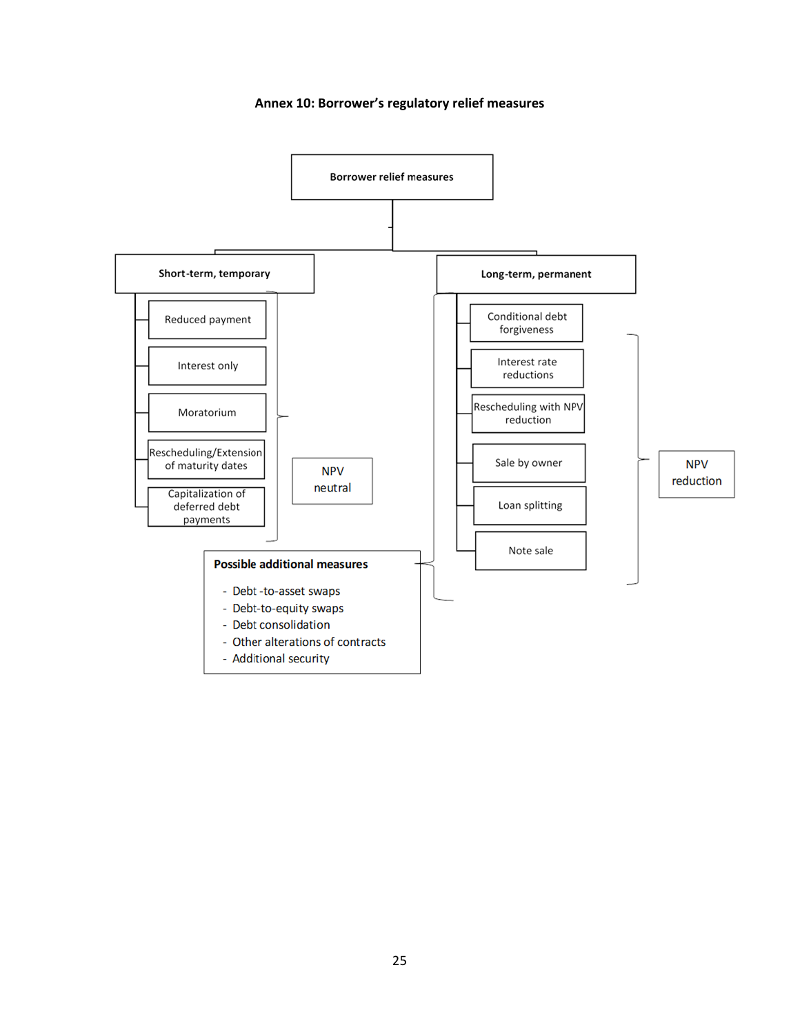#### **Annex 10: Borrower's regulatory relief measures**

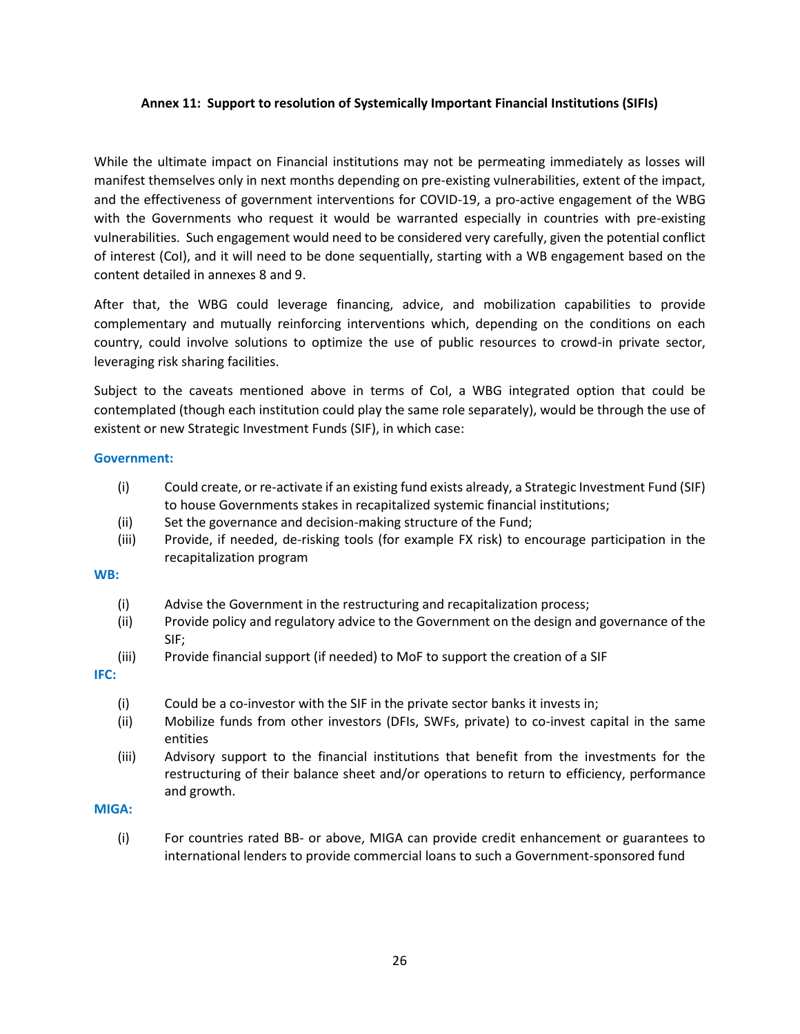### **Annex 11: Support to resolution of Systemically Important Financial Institutions (SIFIs)**

While the ultimate impact on Financial institutions may not be permeating immediately as losses will manifest themselves only in next months depending on pre-existing vulnerabilities, extent of the impact, and the effectiveness of government interventions for COVID-19, a pro-active engagement of the WBG with the Governments who request it would be warranted especially in countries with pre-existing vulnerabilities. Such engagement would need to be considered very carefully, given the potential conflict of interest (CoI), and it will need to be done sequentially, starting with a WB engagement based on the content detailed in annexes 8 and 9.

After that, the WBG could leverage financing, advice, and mobilization capabilities to provide complementary and mutually reinforcing interventions which, depending on the conditions on each country, could involve solutions to optimize the use of public resources to crowd-in private sector, leveraging risk sharing facilities.

Subject to the caveats mentioned above in terms of CoI, a WBG integrated option that could be contemplated (though each institution could play the same role separately), would be through the use of existent or new Strategic Investment Funds (SIF), in which case:

#### **Government:**

- (i) Could create, or re-activate if an existing fund exists already, a Strategic Investment Fund (SIF) to house Governments stakes in recapitalized systemic financial institutions;
- (ii) Set the governance and decision-making structure of the Fund;
- (iii) Provide, if needed, de-risking tools (for example FX risk) to encourage participation in the recapitalization program

#### **WB:**

- (i) Advise the Government in the restructuring and recapitalization process;
- (ii) Provide policy and regulatory advice to the Government on the design and governance of the SIF;
- (iii) Provide financial support (if needed) to MoF to support the creation of a SIF

**IFC:** 

- (i) Could be a co-investor with the SIF in the private sector banks it invests in;
- (ii) Mobilize funds from other investors (DFIs, SWFs, private) to co-invest capital in the same entities
- (iii) Advisory support to the financial institutions that benefit from the investments for the restructuring of their balance sheet and/or operations to return to efficiency, performance and growth.

## **MIGA:**

(i) For countries rated BB- or above, MIGA can provide credit enhancement or guarantees to international lenders to provide commercial loans to such a Government-sponsored fund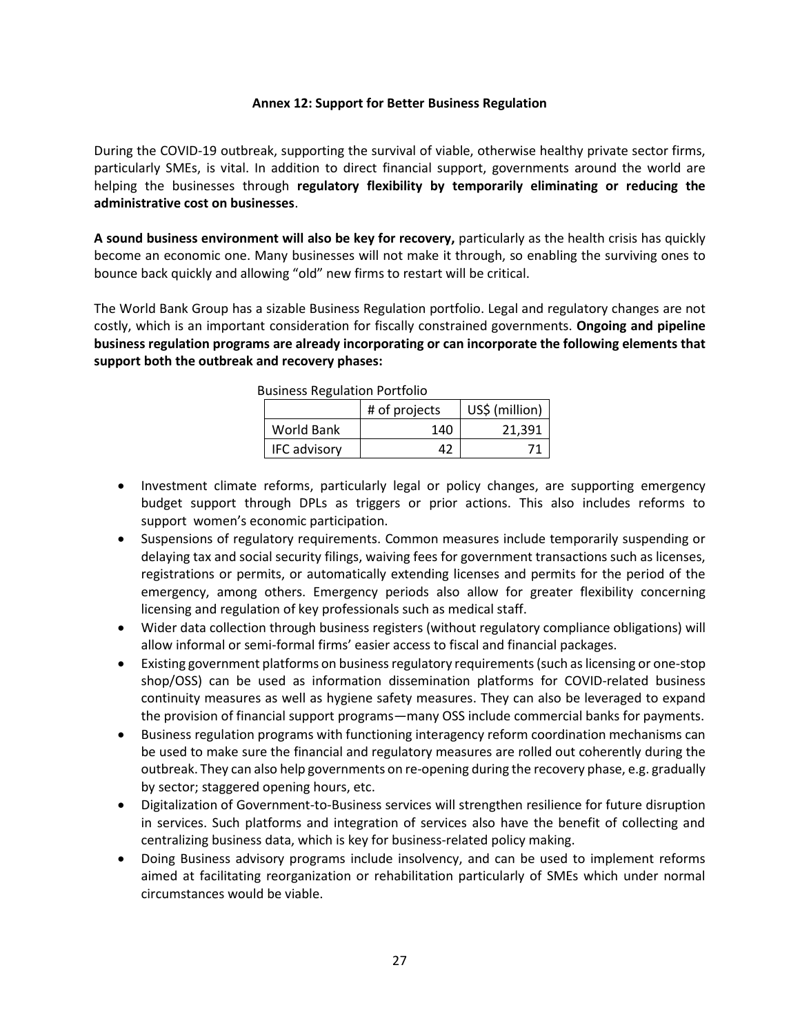#### **Annex 12: Support for Better Business Regulation**

During the COVID-19 outbreak, supporting the survival of viable, otherwise healthy private sector firms, particularly SMEs, is vital. In addition to direct financial support, governments around the world are helping the businesses through **regulatory flexibility by temporarily eliminating or reducing the administrative cost on businesses**.

**A sound business environment will also be key for recovery,** particularly as the health crisis has quickly become an economic one. Many businesses will not make it through, so enabling the surviving ones to bounce back quickly and allowing "old" new firms to restart will be critical.

The World Bank Group has a sizable Business Regulation portfolio. Legal and regulatory changes are not costly, which is an important consideration for fiscally constrained governments. **Ongoing and pipeline business regulation programs are already incorporating or can incorporate the following elements that support both the outbreak and recovery phases:**

| AUSTRESS INCRUITEUR I OF LIONO<br>US\$ (million)<br># of projects |     |        |  |
|-------------------------------------------------------------------|-----|--------|--|
| World Bank                                                        | 140 | 21,391 |  |
| <b>IFC advisory</b>                                               | 47  |        |  |

Business Regulation Portfolio

- Investment climate reforms, particularly legal or policy changes, are supporting emergency budget support through DPLs as triggers or prior actions. This also includes reforms to support women's economic participation.
- Suspensions of regulatory requirements. Common measures include temporarily suspending or delaying tax and social security filings, waiving fees for government transactions such as licenses, registrations or permits, or automatically extending licenses and permits for the period of the emergency, among others. Emergency periods also allow for greater flexibility concerning licensing and regulation of key professionals such as medical staff.
- Wider data collection through business registers (without regulatory compliance obligations) will allow informal or semi-formal firms' easier access to fiscal and financial packages.
- Existing government platforms on business regulatory requirements (such as licensing or one-stop shop/OSS) can be used as information dissemination platforms for COVID-related business continuity measures as well as hygiene safety measures. They can also be leveraged to expand the provision of financial support programs—many OSS include commercial banks for payments.
- Business regulation programs with functioning interagency reform coordination mechanisms can be used to make sure the financial and regulatory measures are rolled out coherently during the outbreak. They can also help governments on re-opening during the recovery phase, e.g. gradually by sector; staggered opening hours, etc.
- Digitalization of Government-to-Business services will strengthen resilience for future disruption in services. Such platforms and integration of services also have the benefit of collecting and centralizing business data, which is key for business-related policy making.
- Doing Business advisory programs include insolvency, and can be used to implement reforms aimed at facilitating reorganization or rehabilitation particularly of SMEs which under normal circumstances would be viable.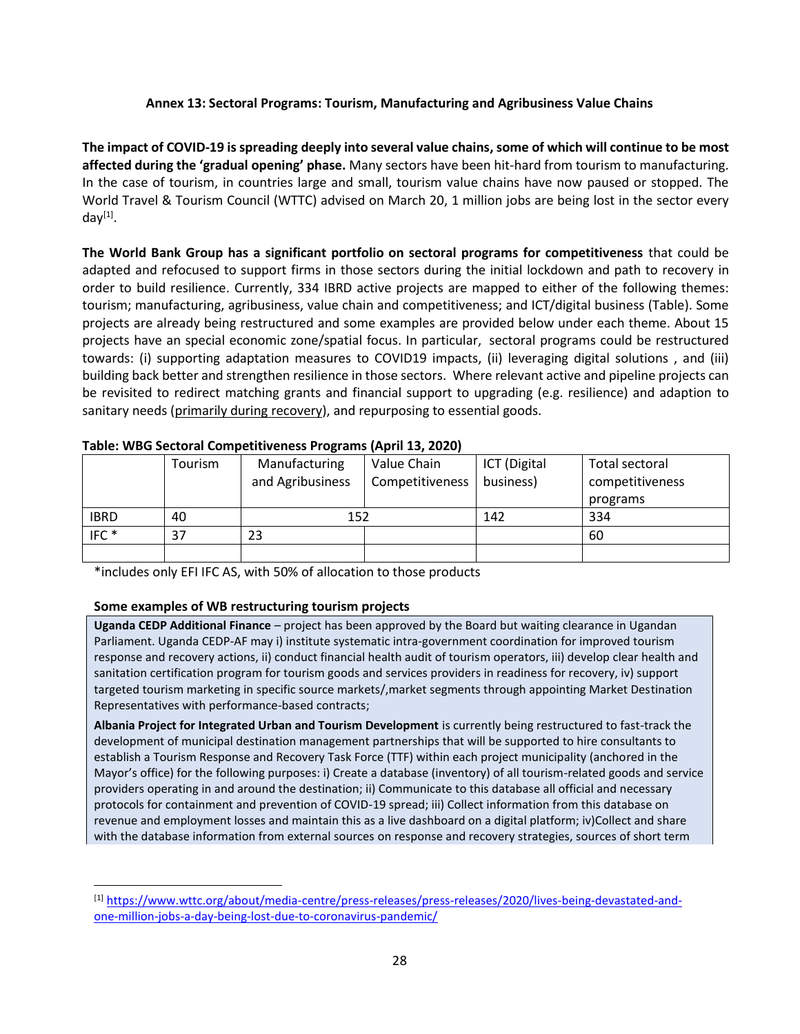# **Annex 13: Sectoral Programs: Tourism, Manufacturing and Agribusiness Value Chains**

**The impact of COVID-19 is spreading deeply into several value chains, some of which will continue to be most affected during the 'gradual opening' phase.** Many sectors have been hit-hard from tourism to manufacturing. In the case of tourism, in countries large and small, tourism value chains have now paused or stopped. The World Travel & Tourism Council (WTTC) advised on March 20, 1 million jobs are being lost in the sector every day<sup>[1]</sup>.

**The World Bank Group has a significant portfolio on sectoral programs for competitiveness** that could be adapted and refocused to support firms in those sectors during the initial lockdown and path to recovery in order to build resilience. Currently, 334 IBRD active projects are mapped to either of the following themes: tourism; manufacturing, agribusiness, value chain and competitiveness; and ICT/digital business (Table). Some projects are already being restructured and some examples are provided below under each theme. About 15 projects have an special economic zone/spatial focus. In particular, sectoral programs could be restructured towards: (i) supporting adaptation measures to COVID19 impacts, (ii) leveraging digital solutions , and (iii) building back better and strengthen resilience in those sectors. Where relevant active and pipeline projects can be revisited to redirect matching grants and financial support to upgrading (e.g. resilience) and adaption to sanitary needs (primarily during recovery), and repurposing to essential goods.

|                  |         | . .              |                 |              |                 |
|------------------|---------|------------------|-----------------|--------------|-----------------|
|                  | Tourism | Manufacturing    | Value Chain     | ICT (Digital | Total sectoral  |
|                  |         | and Agribusiness | Competitiveness | business)    | competitiveness |
|                  |         |                  |                 |              | programs        |
| <b>IBRD</b>      | 40      | 152              |                 | 142          | 334             |
| IFC <sup>*</sup> | 37      | 23               |                 |              | 60              |
|                  |         |                  |                 |              |                 |

## **Table: WBG Sectoral Competitiveness Programs (April 13, 2020)**

\*includes only EFI IFC AS, with 50% of allocation to those products

## **Some examples of WB restructuring tourism projects**

**Uganda CEDP Additional Finance** – project has been approved by the Board but waiting clearance in Ugandan Parliament. Uganda CEDP-AF may i) institute systematic intra-government coordination for improved tourism response and recovery actions, ii) conduct financial health audit of tourism operators, iii) develop clear health and sanitation certification program for tourism goods and services providers in readiness for recovery, iv) support targeted tourism marketing in specific source markets/,market segments through appointing Market Destination Representatives with performance-based contracts;

**Albania Project for Integrated Urban and Tourism Development** is currently being restructured to fast-track the development of municipal destination management partnerships that will be supported to hire consultants to establish a Tourism Response and Recovery Task Force (TTF) within each project municipality (anchored in the Mayor's office) for the following purposes: i) Create a database (inventory) of all tourism-related goods and service providers operating in and around the destination; ii) Communicate to this database all official and necessary protocols for containment and prevention of COVID-19 spread; iii) Collect information from this database on revenue and employment losses and maintain this as a live dashboard on a digital platform; iv)Collect and share with the database information from external sources on response and recovery strategies, sources of short term

<sup>[1]</sup> [https://www.wttc.org/about/media-centre/press-releases/press-releases/2020/lives-being-devastated-and](https://www.wttc.org/about/media-centre/press-releases/press-releases/2020/lives-being-devastated-and-one-million-jobs-a-day-being-lost-due-to-coronavirus-pandemic/)[one-million-jobs-a-day-being-lost-due-to-coronavirus-pandemic/](https://www.wttc.org/about/media-centre/press-releases/press-releases/2020/lives-being-devastated-and-one-million-jobs-a-day-being-lost-due-to-coronavirus-pandemic/)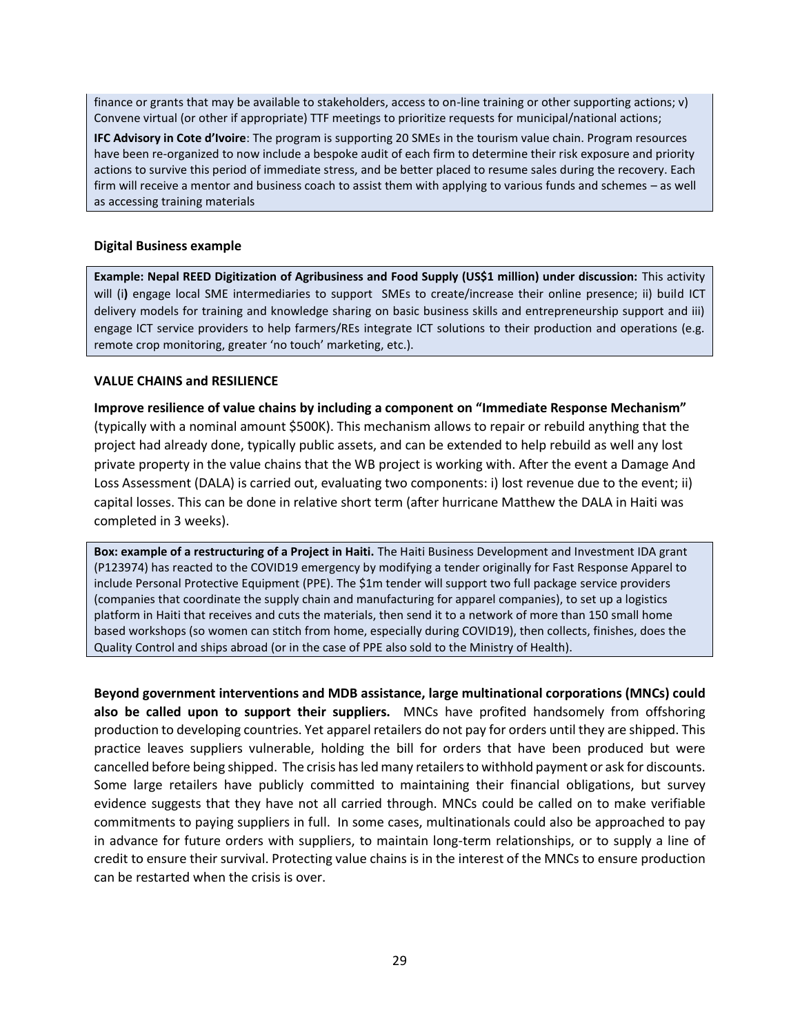finance or grants that may be available to stakeholders, access to on-line training or other supporting actions; v) Convene virtual (or other if appropriate) TTF meetings to prioritize requests for municipal/national actions;

**IFC Advisory in Cote d'Ivoire**: The program is supporting 20 SMEs in the tourism value chain. Program resources have been re-organized to now include a bespoke audit of each firm to determine their risk exposure and priority actions to survive this period of immediate stress, and be better placed to resume sales during the recovery. Each firm will receive a mentor and business coach to assist them with applying to various funds and schemes – as well as accessing training materials

#### **Digital Business example**

**Example: Nepal REED Digitization of Agribusiness and Food Supply (US\$1 million) under discussion:** This activity will (i**)** engage local SME intermediaries to support SMEs to create/increase their online presence; ii) build ICT delivery models for training and knowledge sharing on basic business skills and entrepreneurship support and iii) engage ICT service providers to help farmers/REs integrate ICT solutions to their production and operations (e.g. remote crop monitoring, greater 'no touch' marketing, etc.).

#### **VALUE CHAINS and RESILIENCE**

**Improve resilience of value chains by including a component on "Immediate Response Mechanism"** (typically with a nominal amount \$500K). This mechanism allows to repair or rebuild anything that the project had already done, typically public assets, and can be extended to help rebuild as well any lost private property in the value chains that the WB project is working with. After the event a Damage And Loss Assessment (DALA) is carried out, evaluating two components: i) lost revenue due to the event; ii) capital losses. This can be done in relative short term (after hurricane Matthew the DALA in Haiti was completed in 3 weeks).

**Box: example of a restructuring of a Project in Haiti.** The Haiti Business Development and Investment IDA grant (P123974) has reacted to the COVID19 emergency by modifying a tender originally for Fast Response Apparel to include Personal Protective Equipment (PPE). The \$1m tender will support two full package service providers (companies that coordinate the supply chain and manufacturing for apparel companies), to set up a logistics platform in Haiti that receives and cuts the materials, then send it to a network of more than 150 small home based workshops (so women can stitch from home, especially during COVID19), then collects, finishes, does the Quality Control and ships abroad (or in the case of PPE also sold to the Ministry of Health).

**Beyond government interventions and MDB assistance, large multinational corporations (MNCs) could also be called upon to support their suppliers.** MNCs have profited handsomely from offshoring production to developing countries. Yet apparel retailers do not pay for orders until they are shipped. This practice leaves suppliers vulnerable, holding the bill for orders that have been produced but were cancelled before being shipped. The crisis has led many retailers to withhold payment or ask for discounts. Some large retailers have publicly committed to maintaining their financial obligations, but survey evidence suggests that they have not all carried through. MNCs could be called on to make verifiable commitments to paying suppliers in full. In some cases, multinationals could also be approached to pay in advance for future orders with suppliers, to maintain long-term relationships, or to supply a line of credit to ensure their survival. Protecting value chains is in the interest of the MNCs to ensure production can be restarted when the crisis is over.